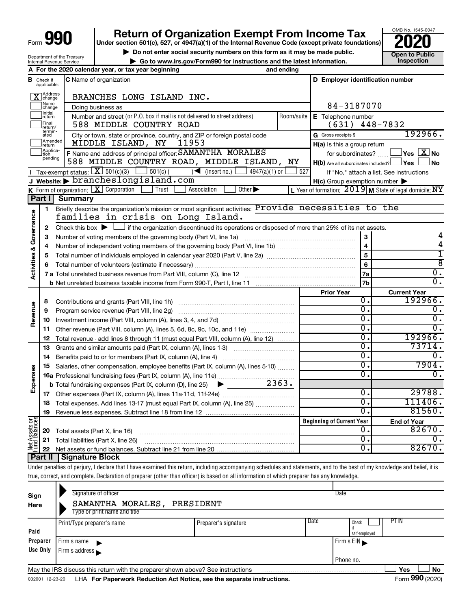Department of the Treasury Internal Revenue Service

# **Return of Organization Exempt From Income Tax**

**Under section 501(c), 527, or 4947(a)(1) of the Internal Revenue Code (except private foundations)**



**▶ Do not enter social security numbers on this form as it may be made public. Open to Public**<br>
inspection instructions and the latest information. Inspection **| Go to www.irs.gov/Form990 for instructions and the latest information. Inspection**

|                                    |                               | A For the 2020 calendar year, or tax year beginning                                                                                         | and ending     |                                                         |                                                           |  |  |  |  |
|------------------------------------|-------------------------------|---------------------------------------------------------------------------------------------------------------------------------------------|----------------|---------------------------------------------------------|-----------------------------------------------------------|--|--|--|--|
|                                    | <b>B</b> Check if applicable: | <b>C</b> Name of organization                                                                                                               |                | D Employer identification number                        |                                                           |  |  |  |  |
|                                    | Address<br>]change            | BRANCHES LONG ISLAND INC.                                                                                                                   |                |                                                         |                                                           |  |  |  |  |
|                                    | Name<br>change                | Doing business as                                                                                                                           | 84-3187070     |                                                         |                                                           |  |  |  |  |
|                                    | Initial<br> return            | Number and street (or P.O. box if mail is not delivered to street address)                                                                  | Room/suite     | E Telephone number                                      |                                                           |  |  |  |  |
|                                    | Final<br> return/             | 588 MIDDLE COUNTRY ROAD<br>(631)<br>$448 - 7832$                                                                                            |                |                                                         |                                                           |  |  |  |  |
|                                    | termin-<br>ated               | City or town, state or province, country, and ZIP or foreign postal code                                                                    |                | G Gross receipts \$                                     | 192966.                                                   |  |  |  |  |
|                                    | Amended<br>return             | MIDDLE ISLAND, NY<br>11953                                                                                                                  |                | H(a) Is this a group return                             |                                                           |  |  |  |  |
|                                    | Applica-<br>Ition<br>pending  | F Name and address of principal officer: SAMANTHA MORALES                                                                                   |                | for subordinates?                                       | $\Box$ Yes $[\overline{\mathrm{X}}]$ No                   |  |  |  |  |
|                                    |                               | 588 MIDDLE COUNTRY ROAD, MIDDLE ISLAND, NY                                                                                                  |                | $H(b)$ Are all subordinates included? $\Box$ Yes $\Box$ | $\blacksquare$ No                                         |  |  |  |  |
|                                    |                               | <b>I</b> Tax-exempt status: $X \overline{X}$ 501(c)(3) [<br>$\sqrt{\left( \text{insert no.} \right)}$<br>$4947(a)(1)$ or<br>$501(c)$ (      | 527            |                                                         | If "No," attach a list. See instructions                  |  |  |  |  |
|                                    |                               | J Website: brancheslongisland.com                                                                                                           |                | $H(c)$ Group exemption number $\blacktriangleright$     |                                                           |  |  |  |  |
|                                    | Part I                        | K Form of organization: $X$ Corporation<br>Trust<br>Association<br>Other $\blacktriangleright$                                              |                |                                                         | L Year of formation: $2019$ M State of legal domicile: NY |  |  |  |  |
|                                    |                               | <b>Summary</b><br>Briefly describe the organization's mission or most significant activities: Provide necessities to the                    |                |                                                         |                                                           |  |  |  |  |
| <b>Activities &amp; Governance</b> | 1                             | families in crisis on Long Island.                                                                                                          |                |                                                         |                                                           |  |  |  |  |
|                                    | $\mathbf{2}$                  | Check this box $\blacktriangleright$ $\Box$ if the organization discontinued its operations or disposed of more than 25% of its net assets. |                |                                                         |                                                           |  |  |  |  |
|                                    | З                             | Number of voting members of the governing body (Part VI, line 1a)                                                                           |                | 3                                                       | 4                                                         |  |  |  |  |
|                                    | 4                             |                                                                                                                                             |                |                                                         |                                                           |  |  |  |  |
|                                    | 5                             |                                                                                                                                             | 5              | 1                                                       |                                                           |  |  |  |  |
|                                    | 6                             |                                                                                                                                             | $6\phantom{a}$ | ह                                                       |                                                           |  |  |  |  |
|                                    |                               |                                                                                                                                             |                | 7a                                                      | $\overline{0}$ .                                          |  |  |  |  |
|                                    |                               |                                                                                                                                             |                | 7b                                                      | $\overline{0}$ .                                          |  |  |  |  |
|                                    |                               |                                                                                                                                             |                | <b>Prior Year</b>                                       | <b>Current Year</b>                                       |  |  |  |  |
|                                    | 8                             |                                                                                                                                             |                | Ο.                                                      | 192966.                                                   |  |  |  |  |
| Revenue                            | 9                             | Program service revenue (Part VIII, line 2g)                                                                                                |                | О.                                                      | 0.                                                        |  |  |  |  |
|                                    | 10                            |                                                                                                                                             |                | О.                                                      | 0.                                                        |  |  |  |  |
|                                    | 11                            | Other revenue (Part VIII, column (A), lines 5, 6d, 8c, 9c, 10c, and 11e)                                                                    |                | σ.                                                      | 0.                                                        |  |  |  |  |
|                                    | 12                            | Total revenue - add lines 8 through 11 (must equal Part VIII, column (A), line 12)                                                          |                | 0.                                                      | 192966.                                                   |  |  |  |  |
|                                    | 13                            | Grants and similar amounts paid (Part IX, column (A), lines 1-3)                                                                            |                | σ.                                                      | 73714.                                                    |  |  |  |  |
|                                    | 14                            |                                                                                                                                             |                | О.<br>σ.                                                | О.<br>7904.                                               |  |  |  |  |
|                                    | 15                            | Salaries, other compensation, employee benefits (Part IX, column (A), lines 5-10)                                                           |                | О.                                                      | 0.                                                        |  |  |  |  |
| Expenses                           |                               | $\sim$ 2363.                                                                                                                                |                |                                                         |                                                           |  |  |  |  |
|                                    | 17                            | <b>b</b> Total fundraising expenses (Part IX, column (D), line 25)<br>▶                                                                     |                | О.                                                      | 29788.                                                    |  |  |  |  |
|                                    | 18                            |                                                                                                                                             |                | σ.                                                      | 111406.                                                   |  |  |  |  |
|                                    | 19                            |                                                                                                                                             |                | σ.                                                      | 81560.                                                    |  |  |  |  |
|                                    |                               |                                                                                                                                             |                | <b>Beginning of Current Year</b>                        | <b>End of Year</b>                                        |  |  |  |  |
| Net Assets or<br>Fund Balances     | 20                            | Total assets (Part X, line 16)                                                                                                              |                | Ο.                                                      | 82670.                                                    |  |  |  |  |
|                                    | 21                            | Total liabilities (Part X, line 26)                                                                                                         |                | 0.                                                      | Ω.                                                        |  |  |  |  |
|                                    | 22                            |                                                                                                                                             |                | О.                                                      | 82670.                                                    |  |  |  |  |
|                                    | Part II                       | <b>Signature Block</b>                                                                                                                      |                |                                                         |                                                           |  |  |  |  |
|                                    |                               |                                                                                                                                             |                |                                                         |                                                           |  |  |  |  |

Under penalties of perjury, I declare that I have examined this return, including accompanying schedules and statements, and to the best of my knowledge and belief, it is true, correct, and complete. Declaration of preparer (other than officer) is based on all information of which preparer has any knowledge.

| Sign<br>Here | Signature of officer<br>SAMANTHA MORALES,<br>Type or print name and title       | PRESIDENT            | Date                                   |                  |
|--------------|---------------------------------------------------------------------------------|----------------------|----------------------------------------|------------------|
| Paid         | Print/Type preparer's name                                                      | Preparer's signature | Date<br>PTIN<br>Check<br>self-employed |                  |
| Preparer     | Firm's name                                                                     |                      | Firm's $EIN$                           |                  |
| Use Only     | Firm's address                                                                  |                      |                                        |                  |
|              |                                                                                 |                      | Phone no.                              |                  |
|              | May the IRS discuss this return with the preparer shown above? See instructions |                      |                                        | Yes<br>No        |
|              |                                                                                 |                      |                                        | $0.00 \div 0.00$ |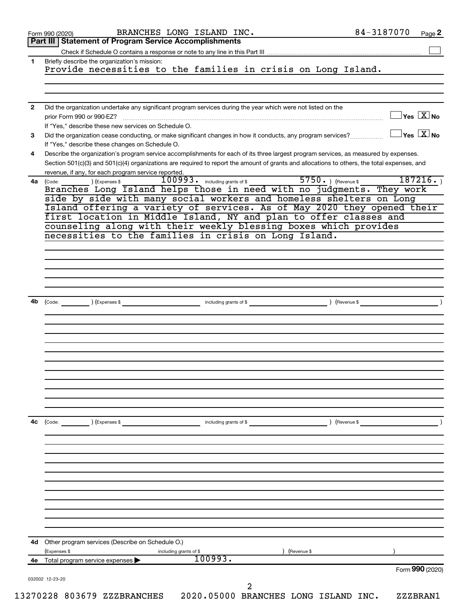|    | BRANCHES LONG ISLAND INC.<br>Form 990 (2020)                                                                                                                                                                                                                                         | 84-3187070<br>Page 2                      |
|----|--------------------------------------------------------------------------------------------------------------------------------------------------------------------------------------------------------------------------------------------------------------------------------------|-------------------------------------------|
|    | <b>Part III   Statement of Program Service Accomplishments</b>                                                                                                                                                                                                                       |                                           |
| 1  |                                                                                                                                                                                                                                                                                      |                                           |
|    | Briefly describe the organization's mission:<br>Provide necessities to the families in crisis on Long Island.                                                                                                                                                                        |                                           |
|    |                                                                                                                                                                                                                                                                                      |                                           |
|    |                                                                                                                                                                                                                                                                                      |                                           |
| 2  | Did the organization undertake any significant program services during the year which were not listed on the                                                                                                                                                                         | $\overline{\ }$ Yes $\overline{\rm X}$ No |
|    | prior Form 990 or 990-EZ?<br>If "Yes," describe these new services on Schedule O.                                                                                                                                                                                                    |                                           |
| 3  | Did the organization cease conducting, or make significant changes in how it conducts, any program services?                                                                                                                                                                         | $\exists$ Yes $\boxed{\text{X}}$ No       |
|    | If "Yes," describe these changes on Schedule O.                                                                                                                                                                                                                                      |                                           |
| 4  | Describe the organization's program service accomplishments for each of its three largest program services, as measured by expenses.<br>Section 501(c)(3) and 501(c)(4) organizations are required to report the amount of grants and allocations to others, the total expenses, and |                                           |
| 4a | revenue, if any, for each program service reported.<br>100993. including grants of \$<br>) (Expenses \$                                                                                                                                                                              | $5750.$ (Revenue \$<br>187216.            |
|    | (Code:<br>Branches Long Island helps those in need with no judgments. They work                                                                                                                                                                                                      |                                           |
|    | side by side with many social workers and homeless shelters on Long                                                                                                                                                                                                                  |                                           |
|    | Island offering a variety of services. As of May 2020 they opened their<br>first location in Middle Island, NY and plan to offer classes and                                                                                                                                         |                                           |
|    | counseling along with their weekly blessing boxes which provides                                                                                                                                                                                                                     |                                           |
|    | necessities to the families in crisis on Long Island.                                                                                                                                                                                                                                |                                           |
|    |                                                                                                                                                                                                                                                                                      |                                           |
|    |                                                                                                                                                                                                                                                                                      |                                           |
|    |                                                                                                                                                                                                                                                                                      |                                           |
|    |                                                                                                                                                                                                                                                                                      |                                           |
|    |                                                                                                                                                                                                                                                                                      |                                           |
| 4b | (Code: (Compared to the second of the second of the second of the second of the second of the second of the second of the second of the second of the second of the second of the second of the second of the second of the se                                                       |                                           |
|    |                                                                                                                                                                                                                                                                                      |                                           |
|    |                                                                                                                                                                                                                                                                                      |                                           |
|    |                                                                                                                                                                                                                                                                                      |                                           |
|    |                                                                                                                                                                                                                                                                                      |                                           |
|    |                                                                                                                                                                                                                                                                                      |                                           |
|    |                                                                                                                                                                                                                                                                                      |                                           |
|    |                                                                                                                                                                                                                                                                                      |                                           |
|    |                                                                                                                                                                                                                                                                                      |                                           |
|    |                                                                                                                                                                                                                                                                                      |                                           |
|    |                                                                                                                                                                                                                                                                                      |                                           |
| 4c | (Code: ) (Expenses \$<br>including grants of \$                                                                                                                                                                                                                                      | ) (Revenue \$                             |
|    |                                                                                                                                                                                                                                                                                      |                                           |
|    |                                                                                                                                                                                                                                                                                      |                                           |
|    |                                                                                                                                                                                                                                                                                      |                                           |
|    |                                                                                                                                                                                                                                                                                      |                                           |
|    |                                                                                                                                                                                                                                                                                      |                                           |
|    |                                                                                                                                                                                                                                                                                      |                                           |
|    |                                                                                                                                                                                                                                                                                      |                                           |
|    |                                                                                                                                                                                                                                                                                      |                                           |
|    |                                                                                                                                                                                                                                                                                      |                                           |
| 4d | Other program services (Describe on Schedule O.)                                                                                                                                                                                                                                     |                                           |
|    | (Expenses \$<br>including grants of \$                                                                                                                                                                                                                                               | (Revenue \$                               |
| 4e | 100993.<br>Total program service expenses                                                                                                                                                                                                                                            |                                           |
|    |                                                                                                                                                                                                                                                                                      | Form 990 (2020)                           |
|    | 032002 12-23-20<br>2                                                                                                                                                                                                                                                                 |                                           |
|    |                                                                                                                                                                                                                                                                                      |                                           |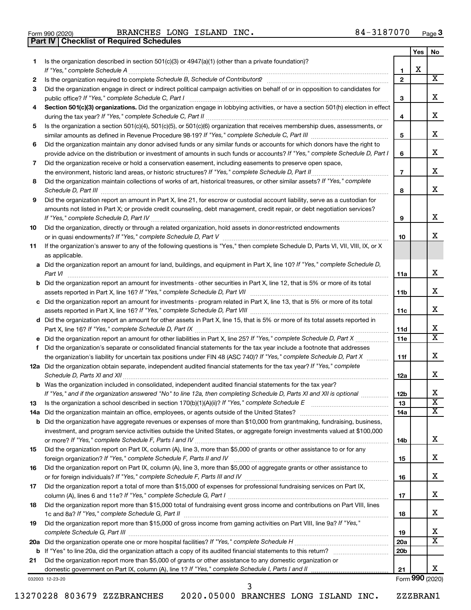|  | Form 990 (2020) |
|--|-----------------|

**Part IV Checklist of Required Schedules**

|     |                                                                                                                                                                                                                                                   |                 | Yes | No                      |
|-----|---------------------------------------------------------------------------------------------------------------------------------------------------------------------------------------------------------------------------------------------------|-----------------|-----|-------------------------|
| 1.  | Is the organization described in section $501(c)(3)$ or $4947(a)(1)$ (other than a private foundation)?                                                                                                                                           |                 |     |                         |
|     |                                                                                                                                                                                                                                                   | 1               | X   |                         |
| 2   |                                                                                                                                                                                                                                                   | $\mathbf{2}$    |     | х                       |
| З   | Did the organization engage in direct or indirect political campaign activities on behalf of or in opposition to candidates for                                                                                                                   |                 |     | x                       |
|     | public office? If "Yes," complete Schedule C, Part I                                                                                                                                                                                              | 3               |     |                         |
| 4   | Section 501(c)(3) organizations. Did the organization engage in lobbying activities, or have a section 501(h) election in effect                                                                                                                  |                 |     | х                       |
|     |                                                                                                                                                                                                                                                   | 4               |     |                         |
| 5   | Is the organization a section 501(c)(4), 501(c)(5), or 501(c)(6) organization that receives membership dues, assessments, or                                                                                                                      | 5               |     | х                       |
| 6   | Did the organization maintain any donor advised funds or any similar funds or accounts for which donors have the right to                                                                                                                         |                 |     |                         |
|     | provide advice on the distribution or investment of amounts in such funds or accounts? If "Yes," complete Schedule D, Part I                                                                                                                      | 6               |     | х                       |
| 7   | Did the organization receive or hold a conservation easement, including easements to preserve open space,                                                                                                                                         |                 |     |                         |
|     |                                                                                                                                                                                                                                                   | $\overline{7}$  |     | х                       |
| 8   | Did the organization maintain collections of works of art, historical treasures, or other similar assets? If "Yes," complete                                                                                                                      |                 |     |                         |
|     |                                                                                                                                                                                                                                                   | 8               |     | x                       |
| 9   | Did the organization report an amount in Part X, line 21, for escrow or custodial account liability, serve as a custodian for                                                                                                                     |                 |     |                         |
|     | amounts not listed in Part X; or provide credit counseling, debt management, credit repair, or debt negotiation services?                                                                                                                         |                 |     |                         |
|     |                                                                                                                                                                                                                                                   | 9               |     | x                       |
| 10  | Did the organization, directly or through a related organization, hold assets in donor-restricted endowments                                                                                                                                      |                 |     |                         |
|     |                                                                                                                                                                                                                                                   | 10              |     | x                       |
| 11  | If the organization's answer to any of the following questions is "Yes," then complete Schedule D, Parts VI, VII, VIII, IX, or X                                                                                                                  |                 |     |                         |
|     | as applicable.                                                                                                                                                                                                                                    |                 |     |                         |
|     | a Did the organization report an amount for land, buildings, and equipment in Part X, line 10? If "Yes," complete Schedule D,                                                                                                                     |                 |     |                         |
|     | Part VI                                                                                                                                                                                                                                           | 11a             |     | х                       |
|     | <b>b</b> Did the organization report an amount for investments - other securities in Part X, line 12, that is 5% or more of its total                                                                                                             |                 |     |                         |
|     |                                                                                                                                                                                                                                                   | 11b             |     | х                       |
|     | c Did the organization report an amount for investments - program related in Part X, line 13, that is 5% or more of its total                                                                                                                     |                 |     |                         |
|     |                                                                                                                                                                                                                                                   | 11c             |     | х                       |
|     | d Did the organization report an amount for other assets in Part X, line 15, that is 5% or more of its total assets reported in                                                                                                                   |                 |     |                         |
|     |                                                                                                                                                                                                                                                   | 11d             |     | х<br>x                  |
|     |                                                                                                                                                                                                                                                   | 11e             |     |                         |
| f   | Did the organization's separate or consolidated financial statements for the tax year include a footnote that addresses                                                                                                                           |                 |     | х                       |
|     | the organization's liability for uncertain tax positions under FIN 48 (ASC 740)? If "Yes," complete Schedule D, Part X<br>12a Did the organization obtain separate, independent audited financial statements for the tax year? If "Yes," complete | 11f             |     |                         |
|     |                                                                                                                                                                                                                                                   | 12a             |     | x                       |
|     | <b>b</b> Was the organization included in consolidated, independent audited financial statements for the tax year?                                                                                                                                |                 |     |                         |
|     | If "Yes," and if the organization answered "No" to line 12a, then completing Schedule D, Parts XI and XII is optional                                                                                                                             | 12 <sub>b</sub> |     | х                       |
| 13  |                                                                                                                                                                                                                                                   | 13              |     | $\overline{\textbf{x}}$ |
| 14a |                                                                                                                                                                                                                                                   | 14a             |     | x                       |
|     | <b>b</b> Did the organization have aggregate revenues or expenses of more than \$10,000 from grantmaking, fundraising, business,                                                                                                                  |                 |     |                         |
|     | investment, and program service activities outside the United States, or aggregate foreign investments valued at \$100,000                                                                                                                        |                 |     |                         |
|     |                                                                                                                                                                                                                                                   | 14b             |     | х                       |
| 15  | Did the organization report on Part IX, column (A), line 3, more than \$5,000 of grants or other assistance to or for any                                                                                                                         |                 |     |                         |
|     |                                                                                                                                                                                                                                                   | 15              |     | х                       |
| 16  | Did the organization report on Part IX, column (A), line 3, more than \$5,000 of aggregate grants or other assistance to                                                                                                                          |                 |     |                         |
|     |                                                                                                                                                                                                                                                   | 16              |     | х                       |
| 17  | Did the organization report a total of more than \$15,000 of expenses for professional fundraising services on Part IX,                                                                                                                           |                 |     |                         |
|     |                                                                                                                                                                                                                                                   | 17              |     | х                       |
| 18  | Did the organization report more than \$15,000 total of fundraising event gross income and contributions on Part VIII, lines                                                                                                                      |                 |     |                         |
|     |                                                                                                                                                                                                                                                   | 18              |     | х                       |
| 19  | Did the organization report more than \$15,000 of gross income from gaming activities on Part VIII, line 9a? If "Yes,"                                                                                                                            |                 |     |                         |
|     |                                                                                                                                                                                                                                                   | 19              |     | x                       |
|     |                                                                                                                                                                                                                                                   | 20a             |     | x                       |
|     |                                                                                                                                                                                                                                                   | 20 <sub>b</sub> |     |                         |
| 21  | Did the organization report more than \$5,000 of grants or other assistance to any domestic organization or                                                                                                                                       | 21              |     | x.                      |
|     | 032003 12-23-20                                                                                                                                                                                                                                   |                 |     | Form 990 (2020)         |
|     |                                                                                                                                                                                                                                                   |                 |     |                         |

3

13270228 803679 ZZZBRANCHES 2020.05000 BRANCHES LONG ISLAND INC. ZZZBRAN1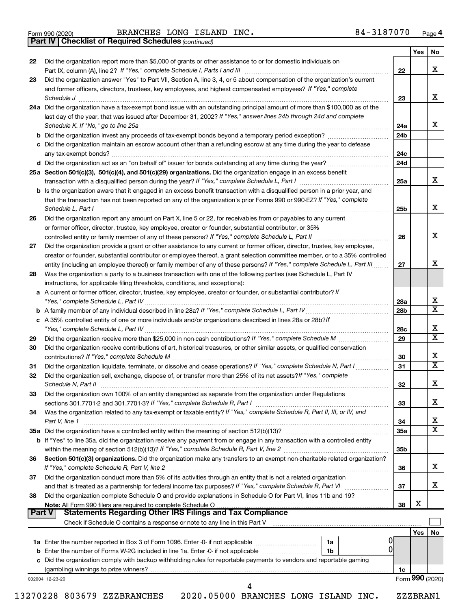*(continued)* **Part IV Checklist of Required Schedules**

| 22            | Did the organization report more than \$5,000 of grants or other assistance to or for domestic individuals on                                                                                                                                                                                                                                             |                 | Yes   | No                           |
|---------------|-----------------------------------------------------------------------------------------------------------------------------------------------------------------------------------------------------------------------------------------------------------------------------------------------------------------------------------------------------------|-----------------|-------|------------------------------|
|               |                                                                                                                                                                                                                                                                                                                                                           | 22              |       | x                            |
| 23            | Did the organization answer "Yes" to Part VII, Section A, line 3, 4, or 5 about compensation of the organization's current                                                                                                                                                                                                                                |                 |       |                              |
|               | and former officers, directors, trustees, key employees, and highest compensated employees? If "Yes," complete<br>Schedule J <b>Execute Schedule Schedule Schedule Schedule</b> J <b>Execute Schedule Schedule Schedule Schedule</b> Schedule Schedule Schedule Schedule Schedule Schedule Schedule Schedule Schedule Schedule Schedule Schedule Schedule | 23              |       | X                            |
|               | 24a Did the organization have a tax-exempt bond issue with an outstanding principal amount of more than \$100,000 as of the<br>last day of the year, that was issued after December 31, 2002? If "Yes," answer lines 24b through 24d and complete                                                                                                         | 24a             |       | х                            |
|               | b Did the organization invest any proceeds of tax-exempt bonds beyond a temporary period exception?                                                                                                                                                                                                                                                       | 24 <sub>b</sub> |       |                              |
|               | c Did the organization maintain an escrow account other than a refunding escrow at any time during the year to defease                                                                                                                                                                                                                                    | 24c             |       |                              |
|               |                                                                                                                                                                                                                                                                                                                                                           | 24d             |       |                              |
|               | 25a Section 501(c)(3), 501(c)(4), and 501(c)(29) organizations. Did the organization engage in an excess benefit                                                                                                                                                                                                                                          |                 |       |                              |
|               |                                                                                                                                                                                                                                                                                                                                                           | 25a             |       | x                            |
|               | <b>b</b> Is the organization aware that it engaged in an excess benefit transaction with a disqualified person in a prior year, and<br>that the transaction has not been reported on any of the organization's prior Forms 990 or 990-EZ? If "Yes," complete<br>Schedule L, Part I                                                                        | 25 <sub>b</sub> |       | х                            |
| 26            | Did the organization report any amount on Part X, line 5 or 22, for receivables from or payables to any current                                                                                                                                                                                                                                           |                 |       |                              |
|               | or former officer, director, trustee, key employee, creator or founder, substantial contributor, or 35%                                                                                                                                                                                                                                                   |                 |       |                              |
|               |                                                                                                                                                                                                                                                                                                                                                           | 26              |       | х                            |
| 27            | Did the organization provide a grant or other assistance to any current or former officer, director, trustee, key employee,                                                                                                                                                                                                                               |                 |       |                              |
|               | creator or founder, substantial contributor or employee thereof, a grant selection committee member, or to a 35% controlled<br>entity (including an employee thereof) or family member of any of these persons? If "Yes," complete Schedule L, Part III                                                                                                   | 27              |       | x                            |
| 28            | Was the organization a party to a business transaction with one of the following parties (see Schedule L, Part IV                                                                                                                                                                                                                                         |                 |       |                              |
|               | instructions, for applicable filing thresholds, conditions, and exceptions):<br>a A current or former officer, director, trustee, key employee, creator or founder, or substantial contributor? If                                                                                                                                                        |                 |       |                              |
|               |                                                                                                                                                                                                                                                                                                                                                           | 28a             |       | х<br>$\overline{\textbf{X}}$ |
|               |                                                                                                                                                                                                                                                                                                                                                           | 28b             |       |                              |
|               | c A 35% controlled entity of one or more individuals and/or organizations described in lines 28a or 28b?If                                                                                                                                                                                                                                                | 28c             |       | Χ                            |
| 29            |                                                                                                                                                                                                                                                                                                                                                           | 29              |       | $\overline{\texttt{x}}$      |
| 30            | Did the organization receive contributions of art, historical treasures, or other similar assets, or qualified conservation                                                                                                                                                                                                                               | 30              |       | X                            |
| 31            | Did the organization liquidate, terminate, or dissolve and cease operations? If "Yes," complete Schedule N, Part I                                                                                                                                                                                                                                        | 31              |       | $\overline{\texttt{x}}$      |
| 32            | Did the organization sell, exchange, dispose of, or transfer more than 25% of its net assets? If "Yes," complete                                                                                                                                                                                                                                          | 32              |       | x                            |
| 33            | Did the organization own 100% of an entity disregarded as separate from the organization under Regulations<br>sections 301.7701-2 and 301.7701-3? If "Yes," complete Schedule R, Part I [111] [11] [11] [11] [11] sections 301.7701-2 and 301.7701-3? If "Yes," complete Schedule R, Part I                                                               | 33              |       | х                            |
| 34            | Was the organization related to any tax-exempt or taxable entity? If "Yes," complete Schedule R, Part II, III, or IV, and                                                                                                                                                                                                                                 |                 |       | х                            |
|               | Part V, line 1<br>35a Did the organization have a controlled entity within the meaning of section 512(b)(13)?                                                                                                                                                                                                                                             | 34              |       | $\overline{\textbf{X}}$      |
|               | b If "Yes" to line 35a, did the organization receive any payment from or engage in any transaction with a controlled entity                                                                                                                                                                                                                               | <b>35a</b>      |       |                              |
| 36            | Section 501(c)(3) organizations. Did the organization make any transfers to an exempt non-charitable related organization?                                                                                                                                                                                                                                | 35 <sub>b</sub> |       |                              |
|               |                                                                                                                                                                                                                                                                                                                                                           | 36              |       | x                            |
| 37            | Did the organization conduct more than 5% of its activities through an entity that is not a related organization                                                                                                                                                                                                                                          | 37              |       | x                            |
| 38            | Did the organization complete Schedule O and provide explanations in Schedule O for Part VI, lines 11b and 19?<br>Note: All Form 990 filers are required to complete Schedule O                                                                                                                                                                           | 38              | х     |                              |
| <b>Part V</b> |                                                                                                                                                                                                                                                                                                                                                           |                 |       |                              |
|               |                                                                                                                                                                                                                                                                                                                                                           |                 | Yes l | No                           |
|               | 0<br>1a                                                                                                                                                                                                                                                                                                                                                   |                 |       |                              |
|               | 0<br>1 <sub>b</sub>                                                                                                                                                                                                                                                                                                                                       |                 |       |                              |
|               |                                                                                                                                                                                                                                                                                                                                                           |                 |       |                              |
|               |                                                                                                                                                                                                                                                                                                                                                           |                 |       |                              |
|               | c Did the organization comply with backup withholding rules for reportable payments to vendors and reportable gaming                                                                                                                                                                                                                                      | 1c              |       |                              |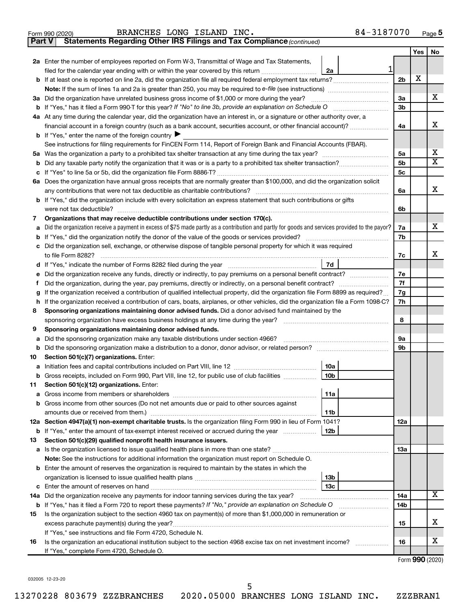| Form 990 (2020) | BRANCHES LONG ISLAND INC. |  |  |  | 84-3187070 | Page |
|-----------------|---------------------------|--|--|--|------------|------|
|-----------------|---------------------------|--|--|--|------------|------|

**Part V Statements Regarding Other IRS Filings and Tax Compliance**

*(continued)*

|        |                                                                                                                                                                                                               |                      | Yes | No               |
|--------|---------------------------------------------------------------------------------------------------------------------------------------------------------------------------------------------------------------|----------------------|-----|------------------|
|        | 2a Enter the number of employees reported on Form W-3, Transmittal of Wage and Tax Statements,                                                                                                                |                      |     |                  |
|        | 1<br>filed for the calendar year ending with or within the year covered by this return <i>manumumumum</i><br>2a                                                                                               |                      |     |                  |
|        |                                                                                                                                                                                                               | 2 <sub>b</sub>       | X   |                  |
|        |                                                                                                                                                                                                               |                      |     |                  |
|        | 3a Did the organization have unrelated business gross income of \$1,000 or more during the year?                                                                                                              | За                   |     | х                |
|        |                                                                                                                                                                                                               | 3b                   |     |                  |
|        | 4a At any time during the calendar year, did the organization have an interest in, or a signature or other authority over, a                                                                                  |                      |     |                  |
|        | financial account in a foreign country (such as a bank account, securities account, or other financial account)?                                                                                              | 4a                   |     | х                |
|        | <b>b</b> If "Yes," enter the name of the foreign country                                                                                                                                                      |                      |     |                  |
|        | See instructions for filing requirements for FinCEN Form 114, Report of Foreign Bank and Financial Accounts (FBAR).                                                                                           |                      |     |                  |
|        |                                                                                                                                                                                                               | 5a                   |     | х<br>$\mathbf x$ |
| b      |                                                                                                                                                                                                               | 5b<br>5 <sub>c</sub> |     |                  |
|        |                                                                                                                                                                                                               |                      |     |                  |
|        | 6a Does the organization have annual gross receipts that are normally greater than \$100,000, and did the organization solicit<br>any contributions that were not tax deductible as charitable contributions? | 6a                   |     | х                |
|        | b If "Yes," did the organization include with every solicitation an express statement that such contributions or gifts                                                                                        |                      |     |                  |
|        | were not tax deductible?                                                                                                                                                                                      | 6b                   |     |                  |
| 7      | Organizations that may receive deductible contributions under section 170(c).                                                                                                                                 |                      |     |                  |
| a      | Did the organization receive a payment in excess of \$75 made partly as a contribution and partly for goods and services provided to the payor?                                                               | 7a                   |     | x                |
|        |                                                                                                                                                                                                               | 7b                   |     |                  |
| c      | Did the organization sell, exchange, or otherwise dispose of tangible personal property for which it was required                                                                                             |                      |     |                  |
|        | to file Form 8282?                                                                                                                                                                                            | 7c                   |     | x                |
| d      | 7d                                                                                                                                                                                                            |                      |     |                  |
|        |                                                                                                                                                                                                               | 7e                   |     |                  |
|        |                                                                                                                                                                                                               | 7f                   |     |                  |
| g      | If the organization received a contribution of qualified intellectual property, did the organization file Form 8899 as required?                                                                              | 7g                   |     |                  |
| h      | If the organization received a contribution of cars, boats, airplanes, or other vehicles, did the organization file a Form 1098-C?                                                                            | 7h                   |     |                  |
| 8      | Sponsoring organizations maintaining donor advised funds. Did a donor advised fund maintained by the                                                                                                          |                      |     |                  |
|        | sponsoring organization have excess business holdings at any time during the year?                                                                                                                            | 8                    |     |                  |
| 9      | Sponsoring organizations maintaining donor advised funds.                                                                                                                                                     |                      |     |                  |
| а      | Did the sponsoring organization make any taxable distributions under section 4966?                                                                                                                            | 9а                   |     |                  |
| b      |                                                                                                                                                                                                               | 9b                   |     |                  |
| 10     | Section 501(c)(7) organizations. Enter:<br>10a                                                                                                                                                                |                      |     |                  |
| а<br>b | 10 <sub>b</sub><br>Gross receipts, included on Form 990, Part VIII, line 12, for public use of club facilities <i>manumum</i>                                                                                 |                      |     |                  |
| 11     | Section 501(c)(12) organizations. Enter:                                                                                                                                                                      |                      |     |                  |
|        | 11a                                                                                                                                                                                                           |                      |     |                  |
|        | <b>b</b> Gross income from other sources (Do not net amounts due or paid to other sources against                                                                                                             |                      |     |                  |
|        | amounts due or received from them.)<br>11b                                                                                                                                                                    |                      |     |                  |
|        | 12a Section 4947(a)(1) non-exempt charitable trusts. Is the organization filing Form 990 in lieu of Form 1041?                                                                                                | 12a                  |     |                  |
|        | <b>b</b> If "Yes," enter the amount of tax-exempt interest received or accrued during the year<br>12b                                                                                                         |                      |     |                  |
| 13     | Section 501(c)(29) qualified nonprofit health insurance issuers.                                                                                                                                              |                      |     |                  |
|        | a Is the organization licensed to issue qualified health plans in more than one state?                                                                                                                        | 1За                  |     |                  |
|        | Note: See the instructions for additional information the organization must report on Schedule O.                                                                                                             |                      |     |                  |
|        | <b>b</b> Enter the amount of reserves the organization is required to maintain by the states in which the                                                                                                     |                      |     |                  |
|        | 13 <sub>b</sub>                                                                                                                                                                                               |                      |     |                  |
|        | 13c                                                                                                                                                                                                           |                      |     |                  |
|        | 14a Did the organization receive any payments for indoor tanning services during the tax year?                                                                                                                | 14a                  |     | x                |
|        | b If "Yes," has it filed a Form 720 to report these payments? If "No," provide an explanation on Schedule O                                                                                                   | 14b                  |     |                  |
| 15     | Is the organization subject to the section 4960 tax on payment(s) of more than \$1,000,000 in remuneration or                                                                                                 |                      |     | x                |
|        |                                                                                                                                                                                                               | 15                   |     |                  |
| 16     | If "Yes," see instructions and file Form 4720, Schedule N.<br>Is the organization an educational institution subject to the section 4968 excise tax on net investment income?                                 | 16                   |     | x                |
|        | .<br>If "Yes," complete Form 4720, Schedule O.                                                                                                                                                                |                      |     |                  |
|        |                                                                                                                                                                                                               |                      |     |                  |

Form (2020) **990**

032005 12-23-20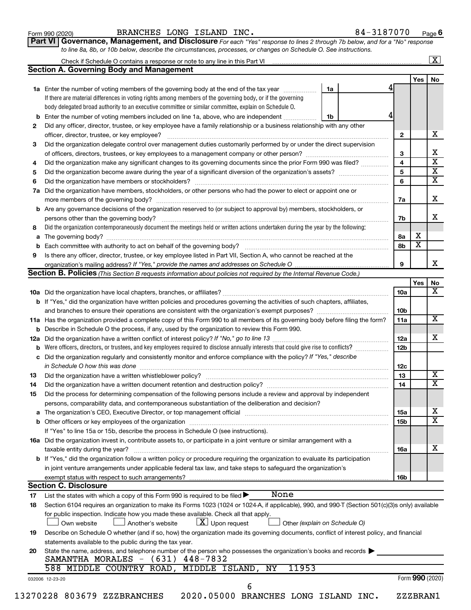| Form 990 (2020) |  |
|-----------------|--|
|-----------------|--|

**Part VI** Governance, Management, and Disclosure For each "Yes" response to lines 2 through 7b below, and for a "No" response *to line 8a, 8b, or 10b below, describe the circumstances, processes, or changes on Schedule O. See instructions.*

|     |                                                                                                                                                  |                               |                 |                       | $\overline{\mathbf{X}}$ |
|-----|--------------------------------------------------------------------------------------------------------------------------------------------------|-------------------------------|-----------------|-----------------------|-------------------------|
|     | <b>Section A. Governing Body and Management</b>                                                                                                  |                               |                 |                       |                         |
|     |                                                                                                                                                  |                               |                 | <b>Yes</b>            | No                      |
|     | 1a Enter the number of voting members of the governing body at the end of the tax year                                                           | 1a                            |                 |                       |                         |
|     | If there are material differences in voting rights among members of the governing body, or if the governing                                      |                               |                 |                       |                         |
|     | body delegated broad authority to an executive committee or similar committee, explain on Schedule O.                                            |                               |                 |                       |                         |
| b   | Enter the number of voting members included on line 1a, above, who are independent                                                               | 1b                            |                 |                       |                         |
| 2   | Did any officer, director, trustee, or key employee have a family relationship or a business relationship with any other                         |                               |                 |                       |                         |
|     | officer, director, trustee, or key employee?                                                                                                     |                               | $\mathbf{2}$    |                       | x                       |
| 3   | Did the organization delegate control over management duties customarily performed by or under the direct supervision                            |                               |                 |                       |                         |
|     |                                                                                                                                                  |                               | 3               |                       | х                       |
| 4   | Did the organization make any significant changes to its governing documents since the prior Form 990 was filed?                                 |                               | $\overline{4}$  |                       | $\overline{\textbf{x}}$ |
| 5   |                                                                                                                                                  |                               | 5               |                       | $\overline{\textbf{x}}$ |
| 6   |                                                                                                                                                  |                               | 6               |                       | $\overline{\textbf{x}}$ |
| 7a  | Did the organization have members, stockholders, or other persons who had the power to elect or appoint one or                                   |                               |                 |                       |                         |
|     |                                                                                                                                                  |                               | 7a              |                       | x                       |
|     | <b>b</b> Are any governance decisions of the organization reserved to (or subject to approval by) members, stockholders, or                      |                               |                 |                       |                         |
|     | persons other than the governing body?                                                                                                           |                               | 7b              |                       | x                       |
| 8   | Did the organization contemporaneously document the meetings held or written actions undertaken during the year by the following:                |                               |                 |                       |                         |
|     |                                                                                                                                                  |                               | 8a              | х                     |                         |
|     |                                                                                                                                                  |                               | 8b              | $\overline{\text{x}}$ |                         |
| 9   | Is there any officer, director, trustee, or key employee listed in Part VII, Section A, who cannot be reached at the                             |                               |                 |                       |                         |
|     |                                                                                                                                                  |                               | 9               |                       | x                       |
|     | Section B. Policies (This Section B requests information about policies not required by the Internal Revenue Code.)                              |                               |                 |                       |                         |
|     |                                                                                                                                                  |                               |                 | Yes                   | No                      |
|     |                                                                                                                                                  |                               | 10a             |                       |                         |
|     | b If "Yes," did the organization have written policies and procedures governing the activities of such chapters, affiliates,                     |                               |                 |                       |                         |
|     | and branches to ensure their operations are consistent with the organization's exempt purposes? <i>managereconominion</i>                        |                               | 10 <sub>b</sub> |                       |                         |
|     | 11a Has the organization provided a complete copy of this Form 990 to all members of its governing body before filing the form?                  |                               | 11a             |                       | $\overline{\mathbf{X}}$ |
|     | <b>b</b> Describe in Schedule O the process, if any, used by the organization to review this Form 990.                                           |                               |                 |                       |                         |
| 12a |                                                                                                                                                  |                               | 12a             |                       | x                       |
| b   | Were officers, directors, or trustees, and key employees required to disclose annually interests that could give rise to conflicts?              |                               | 12 <sub>b</sub> |                       |                         |
|     | c Did the organization regularly and consistently monitor and enforce compliance with the policy? If "Yes," describe                             |                               |                 |                       |                         |
|     |                                                                                                                                                  |                               | 12c             |                       |                         |
| 13  | in Schedule O how this was done manufactured and continuum and contact the way to the set of the set of the schedule O how this was done         |                               | 13              |                       | $\overline{\mathbf{X}}$ |
|     |                                                                                                                                                  |                               | 14              |                       | $\overline{\mathtt{x}}$ |
| 14  | Did the organization have a written document retention and destruction policy? [11] manufaction manufaction in                                   |                               |                 |                       |                         |
| 15  | Did the process for determining compensation of the following persons include a review and approval by independent                               |                               |                 |                       |                         |
|     | persons, comparability data, and contemporaneous substantiation of the deliberation and decision?                                                |                               |                 |                       | х                       |
|     |                                                                                                                                                  |                               | 15a             |                       | $\overline{\text{x}}$   |
|     |                                                                                                                                                  |                               | 15b             |                       |                         |
|     | If "Yes" to line 15a or 15b, describe the process in Schedule O (see instructions).                                                              |                               |                 |                       |                         |
|     | 16a Did the organization invest in, contribute assets to, or participate in a joint venture or similar arrangement with a                        |                               |                 |                       |                         |
|     | taxable entity during the year?                                                                                                                  |                               | 16a             |                       | х                       |
|     | <b>b</b> If "Yes," did the organization follow a written policy or procedure requiring the organization to evaluate its participation            |                               |                 |                       |                         |
|     | in joint venture arrangements under applicable federal tax law, and take steps to safeguard the organization's                                   |                               |                 |                       |                         |
|     | exempt status with respect to such arrangements?                                                                                                 |                               | 16b             |                       |                         |
|     | <b>Section C. Disclosure</b>                                                                                                                     |                               |                 |                       |                         |
| 17  | None<br>List the states with which a copy of this Form 990 is required to be filed >                                                             |                               |                 |                       |                         |
| 18  | Section 6104 requires an organization to make its Forms 1023 (1024 or 1024-A, if applicable), 990, and 990-T (Section 501(c)(3)s only) available |                               |                 |                       |                         |
|     | for public inspection. Indicate how you made these available. Check all that apply.                                                              |                               |                 |                       |                         |
|     | $ \underline{X} $ Upon request<br>Own website<br>Another's website                                                                               | Other (explain on Schedule O) |                 |                       |                         |
| 19  | Describe on Schedule O whether (and if so, how) the organization made its governing documents, conflict of interest policy, and financial        |                               |                 |                       |                         |
|     | statements available to the public during the tax year.                                                                                          |                               |                 |                       |                         |
|     | State the name, address, and telephone number of the person who possesses the organization's books and records                                   |                               |                 |                       |                         |
|     |                                                                                                                                                  |                               |                 |                       |                         |
|     |                                                                                                                                                  |                               |                 |                       |                         |
|     | SAMANTHA MORALES $-$ (631) 448-7832                                                                                                              |                               |                 |                       |                         |
|     | 588 MIDDLE COUNTRY ROAD, MIDDLE ISLAND, NY<br>11953                                                                                              |                               |                 |                       |                         |
| 20  | 032006 12-23-20<br>6                                                                                                                             |                               |                 | Form 990 (2020)       |                         |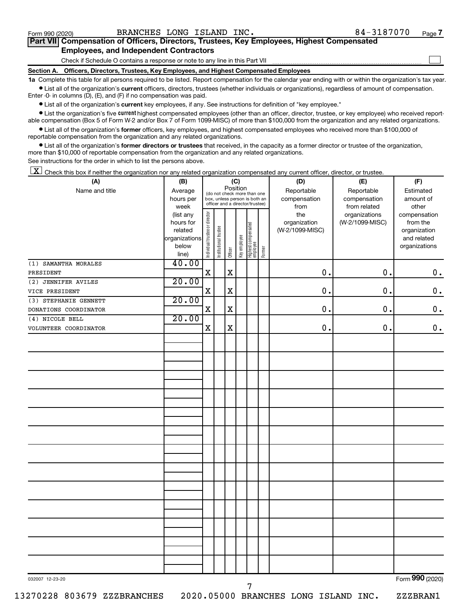$\Box$ 

| Part VII Compensation of Officers, Directors, Trustees, Key Employees, Highest Compensated |  |  |  |  |
|--------------------------------------------------------------------------------------------|--|--|--|--|
| <b>Employees, and Independent Contractors</b>                                              |  |  |  |  |

Check if Schedule O contains a response or note to any line in this Part VII

**Section A. Officers, Directors, Trustees, Key Employees, and Highest Compensated Employees**

**1a**  Complete this table for all persons required to be listed. Report compensation for the calendar year ending with or within the organization's tax year.  $\bullet$  List all of the organization's current officers, directors, trustees (whether individuals or organizations), regardless of amount of compensation.

Enter -0- in columns (D), (E), and (F) if no compensation was paid.

**•** List all of the organization's current key employees, if any. See instructions for definition of "key employee."

• List the organization's five *current* highest compensated employees (other than an officer, director, trustee, or key employee) who received reportable compensation (Box 5 of Form W-2 and/or Box 7 of Form 1099-MISC) of more than \$100,000 from the organization and any related organizations.

 $\bullet$  List all of the organization's former officers, key employees, and highest compensated employees who received more than \$100,000 of reportable compensation from the organization and any related organizations.

**•** List all of the organization's former directors or trustees that received, in the capacity as a former director or trustee of the organization, more than \$10,000 of reportable compensation from the organization and any related organizations.

See instructions for the order in which to list the persons above.

 $\boxed{\textbf{X}}$  Check this box if neither the organization nor any related organization compensated any current officer, director, or trustee.

| (A)                   | (B)                    |                                |                                                                  |             | (C)          |                                   |        | (D)                 | (E)                              | (F)                      |
|-----------------------|------------------------|--------------------------------|------------------------------------------------------------------|-------------|--------------|-----------------------------------|--------|---------------------|----------------------------------|--------------------------|
| Name and title        | Average                |                                | (do not check more than one                                      | Position    |              |                                   |        | Reportable          | Reportable                       | Estimated                |
|                       | hours per              |                                | box, unless person is both an<br>officer and a director/trustee) |             |              |                                   |        | compensation        | compensation                     | amount of                |
|                       | week                   |                                |                                                                  |             |              |                                   |        | from                | from related                     | other                    |
|                       | (list any<br>hours for |                                |                                                                  |             |              |                                   |        | the<br>organization | organizations<br>(W-2/1099-MISC) | compensation<br>from the |
|                       | related                |                                |                                                                  |             |              |                                   |        | (W-2/1099-MISC)     |                                  | organization             |
|                       | organizations          |                                |                                                                  |             |              |                                   |        |                     |                                  | and related              |
|                       | below                  |                                |                                                                  |             |              |                                   |        |                     |                                  | organizations            |
|                       | line)                  | Individual trustee or director | Institutional trustee                                            | Officer     | Key employee | Highest compensated<br>  employee | Former |                     |                                  |                          |
| (1) SAMANTHA MORALES  | 40.00                  |                                |                                                                  |             |              |                                   |        |                     |                                  |                          |
| PRESIDENT             |                        | $\mathbf X$                    |                                                                  | $\mathbf X$ |              |                                   |        | 0.                  | 0.                               | $\mathbf 0$ .            |
| (2) JENNIFER AVILES   | 20.00                  |                                |                                                                  |             |              |                                   |        |                     |                                  |                          |
| VICE PRESIDENT        |                        | $\mathbf X$                    |                                                                  | $\mathbf X$ |              |                                   |        | $\mathbf 0$ .       | 0.                               | $\mathbf 0$ .            |
| (3) STEPHANIE GENNETT | 20.00                  |                                |                                                                  |             |              |                                   |        |                     |                                  |                          |
| DONATIONS COORDINATOR |                        | $\mathbf X$                    |                                                                  | $\mathbf X$ |              |                                   |        | $\mathbf 0$ .       | 0.                               | $\mathbf 0$ .            |
| (4) NICOLE BELL       | 20.00                  |                                |                                                                  |             |              |                                   |        |                     |                                  |                          |
| VOLUNTEER COORDINATOR |                        | $\mathbf X$                    |                                                                  | $\mathbf X$ |              |                                   |        | $\mathbf 0$ .       | 0.                               | $\mathbf 0$ .            |
|                       |                        |                                |                                                                  |             |              |                                   |        |                     |                                  |                          |
|                       |                        |                                |                                                                  |             |              |                                   |        |                     |                                  |                          |
|                       |                        |                                |                                                                  |             |              |                                   |        |                     |                                  |                          |
|                       |                        |                                |                                                                  |             |              |                                   |        |                     |                                  |                          |
|                       |                        |                                |                                                                  |             |              |                                   |        |                     |                                  |                          |
|                       |                        |                                |                                                                  |             |              |                                   |        |                     |                                  |                          |
|                       |                        |                                |                                                                  |             |              |                                   |        |                     |                                  |                          |
|                       |                        |                                |                                                                  |             |              |                                   |        |                     |                                  |                          |
|                       |                        |                                |                                                                  |             |              |                                   |        |                     |                                  |                          |
|                       |                        |                                |                                                                  |             |              |                                   |        |                     |                                  |                          |
|                       |                        |                                |                                                                  |             |              |                                   |        |                     |                                  |                          |
|                       |                        |                                |                                                                  |             |              |                                   |        |                     |                                  |                          |
|                       |                        |                                |                                                                  |             |              |                                   |        |                     |                                  |                          |
|                       |                        |                                |                                                                  |             |              |                                   |        |                     |                                  |                          |
|                       |                        |                                |                                                                  |             |              |                                   |        |                     |                                  |                          |
|                       |                        |                                |                                                                  |             |              |                                   |        |                     |                                  |                          |
|                       |                        |                                |                                                                  |             |              |                                   |        |                     |                                  |                          |
|                       |                        |                                |                                                                  |             |              |                                   |        |                     |                                  |                          |
|                       |                        |                                |                                                                  |             |              |                                   |        |                     |                                  |                          |
|                       |                        |                                |                                                                  |             |              |                                   |        |                     |                                  |                          |
|                       |                        |                                |                                                                  |             |              |                                   |        |                     |                                  |                          |
|                       |                        |                                |                                                                  |             |              |                                   |        |                     |                                  |                          |
|                       |                        |                                |                                                                  |             |              |                                   |        |                     |                                  |                          |
|                       |                        |                                |                                                                  |             |              |                                   |        |                     |                                  |                          |
|                       |                        |                                |                                                                  |             |              |                                   |        |                     |                                  |                          |
| 032007 12-23-20       |                        |                                |                                                                  |             |              |                                   |        |                     |                                  | Form 990 (2020)          |
|                       |                        |                                |                                                                  |             |              | 7                                 |        |                     |                                  |                          |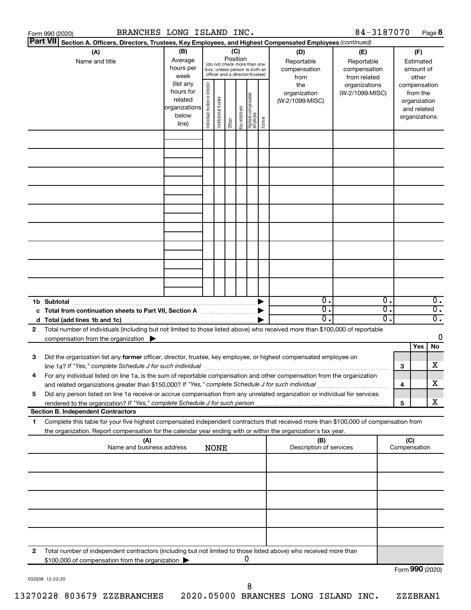|                 | Form 990 (2020)                                                                                                                                                                                                                                                                                                                                               | BRANCHES LONG ISLAND INC.                                            |                                |                       |                 |              |                                                                                                 |        |                                           | 84-3187070                                        |          |                     |                                                                          | Page 8                               |
|-----------------|---------------------------------------------------------------------------------------------------------------------------------------------------------------------------------------------------------------------------------------------------------------------------------------------------------------------------------------------------------------|----------------------------------------------------------------------|--------------------------------|-----------------------|-----------------|--------------|-------------------------------------------------------------------------------------------------|--------|-------------------------------------------|---------------------------------------------------|----------|---------------------|--------------------------------------------------------------------------|--------------------------------------|
| <b>Part VII</b> | Section A. Officers, Directors, Trustees, Key Employees, and Highest Compensated Employees (continued)                                                                                                                                                                                                                                                        |                                                                      |                                |                       |                 |              |                                                                                                 |        |                                           |                                                   |          |                     |                                                                          |                                      |
|                 | (A)<br>Name and title                                                                                                                                                                                                                                                                                                                                         | (B)<br>Average<br>hours per<br>week                                  |                                |                       | (C)<br>Position |              | (do not check more than one<br>box, unless person is both an<br>officer and a director/trustee) |        | (D)<br>Reportable<br>compensation<br>from | (E)<br>Reportable<br>compensation<br>from related |          |                     | (F)<br>Estimated<br>amount of<br>other                                   |                                      |
|                 |                                                                                                                                                                                                                                                                                                                                                               | (list any<br>hours for<br>related<br>organizations<br>below<br>line) | Individual trustee or director | Institutional trustee | Officer         | Key employee | Highest compensated<br>  employee                                                               | Former | the<br>organization<br>(W-2/1099-MISC)    | organizations<br>(W-2/1099-MISC)                  |          |                     | compensation<br>from the<br>organization<br>and related<br>organizations |                                      |
|                 |                                                                                                                                                                                                                                                                                                                                                               |                                                                      |                                |                       |                 |              |                                                                                                 |        |                                           |                                                   |          |                     |                                                                          |                                      |
|                 |                                                                                                                                                                                                                                                                                                                                                               |                                                                      |                                |                       |                 |              |                                                                                                 |        |                                           |                                                   |          |                     |                                                                          |                                      |
|                 |                                                                                                                                                                                                                                                                                                                                                               |                                                                      |                                |                       |                 |              |                                                                                                 |        |                                           |                                                   |          |                     |                                                                          |                                      |
|                 |                                                                                                                                                                                                                                                                                                                                                               |                                                                      |                                |                       |                 |              |                                                                                                 |        |                                           |                                                   |          |                     |                                                                          |                                      |
|                 |                                                                                                                                                                                                                                                                                                                                                               |                                                                      |                                |                       |                 |              |                                                                                                 |        |                                           |                                                   |          |                     |                                                                          |                                      |
|                 |                                                                                                                                                                                                                                                                                                                                                               |                                                                      |                                |                       |                 |              |                                                                                                 |        |                                           |                                                   |          |                     |                                                                          |                                      |
|                 |                                                                                                                                                                                                                                                                                                                                                               |                                                                      |                                |                       |                 |              |                                                                                                 |        |                                           |                                                   |          |                     |                                                                          |                                      |
|                 | 1b Subtotal                                                                                                                                                                                                                                                                                                                                                   |                                                                      |                                |                       |                 |              |                                                                                                 |        | $0$ .<br>$\overline{0}$ .                 |                                                   | 0.<br>σ. |                     |                                                                          | $\overline{0}$ .<br>$\overline{0}$ . |
| 2               | c Total from continuation sheets to Part VII, Section A manufactured by<br>Total number of individuals (including but not limited to those listed above) who received more than \$100,000 of reportable                                                                                                                                                       |                                                                      |                                |                       |                 |              |                                                                                                 |        | $0$ .                                     |                                                   | о.       |                     |                                                                          | $\overline{0}$ .                     |
|                 | compensation from the organization $\blacktriangleright$                                                                                                                                                                                                                                                                                                      |                                                                      |                                |                       |                 |              |                                                                                                 |        |                                           |                                                   |          |                     | Yes                                                                      | 0<br>No                              |
| 3               | Did the organization list any former officer, director, trustee, key employee, or highest compensated employee on<br>line 1a? If "Yes," complete Schedule J for such individual manufactured content to the set of the set of the s                                                                                                                           |                                                                      |                                |                       |                 |              |                                                                                                 |        |                                           |                                                   |          | 3                   |                                                                          | х                                    |
| 5               | For any individual listed on line 1a, is the sum of reportable compensation and other compensation from the organization<br>and related organizations greater than \$150,000? If "Yes," complete Schedule J for such individual<br>Did any person listed on line 1a receive or accrue compensation from any unrelated organization or individual for services |                                                                      |                                |                       |                 |              |                                                                                                 |        |                                           |                                                   |          | 4                   |                                                                          | х                                    |
|                 | <b>Section B. Independent Contractors</b>                                                                                                                                                                                                                                                                                                                     |                                                                      |                                |                       |                 |              |                                                                                                 |        |                                           |                                                   |          | 5                   |                                                                          | х                                    |
| 1.              | Complete this table for your five highest compensated independent contractors that received more than \$100,000 of compensation from<br>the organization. Report compensation for the calendar year ending with or within the organization's tax year.                                                                                                        |                                                                      |                                |                       |                 |              |                                                                                                 |        |                                           |                                                   |          |                     |                                                                          |                                      |
|                 | (A)<br>Name and business address                                                                                                                                                                                                                                                                                                                              |                                                                      |                                | <b>NONE</b>           |                 |              |                                                                                                 |        | (B)<br>Description of services            |                                                   |          | (C)<br>Compensation |                                                                          |                                      |
|                 |                                                                                                                                                                                                                                                                                                                                                               |                                                                      |                                |                       |                 |              |                                                                                                 |        |                                           |                                                   |          |                     |                                                                          |                                      |
|                 |                                                                                                                                                                                                                                                                                                                                                               |                                                                      |                                |                       |                 |              |                                                                                                 |        |                                           |                                                   |          |                     |                                                                          |                                      |
|                 |                                                                                                                                                                                                                                                                                                                                                               |                                                                      |                                |                       |                 |              |                                                                                                 |        |                                           |                                                   |          |                     |                                                                          |                                      |
|                 |                                                                                                                                                                                                                                                                                                                                                               |                                                                      |                                |                       |                 |              |                                                                                                 |        |                                           |                                                   |          |                     |                                                                          |                                      |
| 2               | Total number of independent contractors (including but not limited to those listed above) who received more than<br>\$100,000 of compensation from the organization                                                                                                                                                                                           |                                                                      |                                |                       |                 |              | 0                                                                                               |        |                                           |                                                   |          | Form 990 (2020)     |                                                                          |                                      |
|                 |                                                                                                                                                                                                                                                                                                                                                               |                                                                      |                                |                       |                 |              |                                                                                                 |        |                                           |                                                   |          |                     |                                                                          |                                      |

032008 12-23-20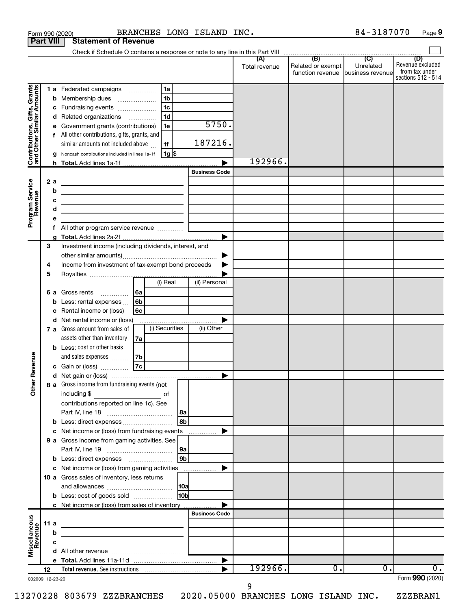|                                                           | <b>Part VIII</b> |   | <b>Statement of Revenue</b>                                                                                                                              |      |                                                   |                |                      |               |                                                          |           |                                                          |
|-----------------------------------------------------------|------------------|---|----------------------------------------------------------------------------------------------------------------------------------------------------------|------|---------------------------------------------------|----------------|----------------------|---------------|----------------------------------------------------------|-----------|----------------------------------------------------------|
|                                                           |                  |   |                                                                                                                                                          |      |                                                   |                |                      |               |                                                          |           | (D)                                                      |
|                                                           |                  |   |                                                                                                                                                          |      |                                                   |                |                      | Total revenue | Related or exempt  <br>function revenue business revenue | Unrelated | Revenue excluded<br>from tax under<br>sections 512 - 514 |
|                                                           |                  |   | 1 a Federated campaigns                                                                                                                                  |      | 1a                                                |                |                      |               |                                                          |           |                                                          |
|                                                           |                  | b | Membership dues<br>$\overline{\phantom{a}}$                                                                                                              |      | 1b                                                |                |                      |               |                                                          |           |                                                          |
|                                                           |                  | с | Fundraising events                                                                                                                                       |      | 1c                                                |                |                      |               |                                                          |           |                                                          |
|                                                           |                  | d | Related organizations                                                                                                                                    |      | 1d                                                |                |                      |               |                                                          |           |                                                          |
|                                                           |                  | е | Government grants (contributions)                                                                                                                        |      | 1e                                                |                | 5750.                |               |                                                          |           |                                                          |
|                                                           |                  | f | All other contributions, gifts, grants, and                                                                                                              |      |                                                   |                |                      |               |                                                          |           |                                                          |
|                                                           |                  |   | similar amounts not included above                                                                                                                       |      | 1f                                                |                | 187216.              |               |                                                          |           |                                                          |
| Contributions, Gifts, Grants<br>and Other Similar Amounts |                  |   | Noncash contributions included in lines 1a-1f                                                                                                            |      | 1g                                                |                |                      | 192966.       |                                                          |           |                                                          |
|                                                           |                  |   |                                                                                                                                                          |      |                                                   |                | <b>Business Code</b> |               |                                                          |           |                                                          |
|                                                           | 2a               |   |                                                                                                                                                          |      |                                                   |                |                      |               |                                                          |           |                                                          |
| Program Service<br>Revenue                                |                  | b | the contract of the contract of the contract of the contract of                                                                                          |      |                                                   |                |                      |               |                                                          |           |                                                          |
|                                                           |                  | c | the contract of the contract of the contract of the contract of                                                                                          |      |                                                   |                |                      |               |                                                          |           |                                                          |
|                                                           |                  | d | the control of the control of the control of the control of the control of<br>the control of the control of the control of the control of the control of |      |                                                   |                |                      |               |                                                          |           |                                                          |
|                                                           |                  | е |                                                                                                                                                          |      |                                                   |                |                      |               |                                                          |           |                                                          |
|                                                           |                  | f |                                                                                                                                                          |      |                                                   |                |                      |               |                                                          |           |                                                          |
|                                                           |                  |   |                                                                                                                                                          |      |                                                   |                |                      |               |                                                          |           |                                                          |
|                                                           | 3                |   | Investment income (including dividends, interest, and                                                                                                    |      |                                                   |                |                      |               |                                                          |           |                                                          |
|                                                           |                  |   |                                                                                                                                                          |      |                                                   |                |                      |               |                                                          |           |                                                          |
|                                                           | 4                |   | Income from investment of tax-exempt bond proceeds                                                                                                       |      |                                                   |                |                      |               |                                                          |           |                                                          |
|                                                           | 5                |   |                                                                                                                                                          |      |                                                   |                |                      |               |                                                          |           |                                                          |
|                                                           |                  |   |                                                                                                                                                          |      | (i) Real                                          |                | (ii) Personal        |               |                                                          |           |                                                          |
|                                                           |                  |   | <b>6 a</b> Gross rents<br>.                                                                                                                              | l 6a |                                                   |                |                      |               |                                                          |           |                                                          |
|                                                           |                  | b | Less: rental expenses                                                                                                                                    | 6b   |                                                   |                |                      |               |                                                          |           |                                                          |
|                                                           |                  | с | Rental income or (loss)                                                                                                                                  | 6с   |                                                   |                |                      |               |                                                          |           |                                                          |
|                                                           |                  | d | Net rental income or (loss)<br>7 a Gross amount from sales of                                                                                            |      | (i) Securities                                    |                | (ii) Other           |               |                                                          |           |                                                          |
|                                                           |                  |   | assets other than inventory                                                                                                                              | 7a   |                                                   |                |                      |               |                                                          |           |                                                          |
|                                                           |                  |   | <b>b</b> Less: cost or other basis                                                                                                                       |      |                                                   |                |                      |               |                                                          |           |                                                          |
|                                                           |                  |   | and sales expenses                                                                                                                                       | 7b   |                                                   |                |                      |               |                                                          |           |                                                          |
| Revenue                                                   |                  |   | Gain or (loss)                                                                                                                                           | 7c   |                                                   |                |                      |               |                                                          |           |                                                          |
|                                                           |                  |   |                                                                                                                                                          |      |                                                   |                |                      |               |                                                          |           |                                                          |
|                                                           |                  |   | 8 a Gross income from fundraising events (not                                                                                                            |      |                                                   |                |                      |               |                                                          |           |                                                          |
| $\check{\epsilon}$                                        |                  |   | including \$                                                                                                                                             |      | of                                                |                |                      |               |                                                          |           |                                                          |
|                                                           |                  |   | contributions reported on line 1c). See                                                                                                                  |      |                                                   |                |                      |               |                                                          |           |                                                          |
|                                                           |                  |   |                                                                                                                                                          |      |                                                   | 8a             |                      |               |                                                          |           |                                                          |
|                                                           |                  |   |                                                                                                                                                          |      |                                                   | 8b             |                      |               |                                                          |           |                                                          |
|                                                           |                  | с | Net income or (loss) from fundraising events                                                                                                             |      |                                                   |                |                      |               |                                                          |           |                                                          |
|                                                           |                  |   | 9 a Gross income from gaming activities. See                                                                                                             |      |                                                   |                |                      |               |                                                          |           |                                                          |
|                                                           |                  |   |                                                                                                                                                          |      |                                                   | 9 <sub>b</sub> |                      |               |                                                          |           |                                                          |
|                                                           |                  |   |                                                                                                                                                          |      |                                                   |                |                      |               |                                                          |           |                                                          |
|                                                           |                  |   | 10 a Gross sales of inventory, less returns                                                                                                              |      |                                                   |                |                      |               |                                                          |           |                                                          |
|                                                           |                  |   |                                                                                                                                                          |      |                                                   |                |                      |               |                                                          |           |                                                          |
|                                                           |                  |   | <b>b</b> Less: cost of goods sold                                                                                                                        |      |                                                   | <b>HObl</b>    |                      |               |                                                          |           |                                                          |
|                                                           |                  |   | c Net income or (loss) from sales of inventory                                                                                                           |      |                                                   |                |                      |               |                                                          |           |                                                          |
|                                                           |                  |   |                                                                                                                                                          |      |                                                   |                | <b>Business Code</b> |               |                                                          |           |                                                          |
| Miscellaneous<br>Revenue                                  | 11 a             |   | the control of the control of the control of the control of the control of                                                                               |      |                                                   |                |                      |               |                                                          |           |                                                          |
|                                                           |                  | b | <u> 1980 - John Stein, mars and de Brandenburg and de Brandenburg and de Brandenburg and de Brandenburg and de Br</u>                                    |      |                                                   |                |                      |               |                                                          |           |                                                          |
|                                                           |                  | c |                                                                                                                                                          |      | <u> 1989 - Johann Barn, mars et al. (b. 1989)</u> |                |                      |               |                                                          |           |                                                          |
|                                                           |                  |   |                                                                                                                                                          |      |                                                   |                |                      |               |                                                          |           |                                                          |
|                                                           |                  |   |                                                                                                                                                          |      |                                                   |                |                      | 192966.       | 0.                                                       | 0.        | 0.                                                       |
|                                                           | 12               |   |                                                                                                                                                          |      |                                                   |                |                      |               |                                                          |           | Form 990 (2020)                                          |
| 032009 12-23-20                                           |                  |   |                                                                                                                                                          |      |                                                   |                |                      | 9             |                                                          |           |                                                          |

13270228 803679 ZZZBRANCHES 2020.05000 BRANCHES LONG ISLAND INC. ZZZBRAN1

84-3187070 Page 9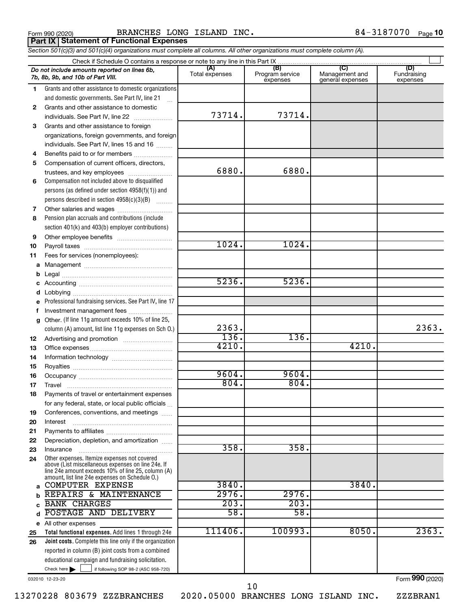**Part IX Statement of Functional Expenses**

Form 990 (2020) BRANCHES LONG ISLAND INC.  $84-3187070$  Page

*Section 501(c)(3) and 501(c)(4) organizations must complete all columns. All other organizations must complete column (A).*

|              | Do not include amounts reported on lines 6b,<br>7b, 8b, 9b, and 10b of Part VIII.                                             | (A)<br>Total expenses | (B)<br>Program service<br>expenses | (C)<br>Management and<br>general expenses | (D)<br>Fundraising<br>expenses |  |  |  |  |  |  |  |
|--------------|-------------------------------------------------------------------------------------------------------------------------------|-----------------------|------------------------------------|-------------------------------------------|--------------------------------|--|--|--|--|--|--|--|
| 1            | Grants and other assistance to domestic organizations                                                                         |                       |                                    |                                           |                                |  |  |  |  |  |  |  |
|              | and domestic governments. See Part IV, line 21                                                                                |                       |                                    |                                           |                                |  |  |  |  |  |  |  |
| $\mathbf{2}$ | Grants and other assistance to domestic                                                                                       |                       |                                    |                                           |                                |  |  |  |  |  |  |  |
|              | individuals. See Part IV, line 22                                                                                             | 73714.                | 73714.                             |                                           |                                |  |  |  |  |  |  |  |
| 3            | Grants and other assistance to foreign                                                                                        |                       |                                    |                                           |                                |  |  |  |  |  |  |  |
|              | organizations, foreign governments, and foreign                                                                               |                       |                                    |                                           |                                |  |  |  |  |  |  |  |
|              | individuals. See Part IV, lines 15 and 16                                                                                     |                       |                                    |                                           |                                |  |  |  |  |  |  |  |
| 4            | Benefits paid to or for members                                                                                               |                       |                                    |                                           |                                |  |  |  |  |  |  |  |
| 5            | Compensation of current officers, directors,                                                                                  |                       |                                    |                                           |                                |  |  |  |  |  |  |  |
|              | trustees, and key employees                                                                                                   | 6880.                 | 6880.                              |                                           |                                |  |  |  |  |  |  |  |
| 6            | Compensation not included above to disqualified                                                                               |                       |                                    |                                           |                                |  |  |  |  |  |  |  |
|              | persons (as defined under section 4958(f)(1)) and                                                                             |                       |                                    |                                           |                                |  |  |  |  |  |  |  |
|              | persons described in section 4958(c)(3)(B)                                                                                    |                       |                                    |                                           |                                |  |  |  |  |  |  |  |
| 7            |                                                                                                                               |                       |                                    |                                           |                                |  |  |  |  |  |  |  |
| 8            | Pension plan accruals and contributions (include                                                                              |                       |                                    |                                           |                                |  |  |  |  |  |  |  |
|              | section 401(k) and 403(b) employer contributions)                                                                             |                       |                                    |                                           |                                |  |  |  |  |  |  |  |
| 9            |                                                                                                                               | 1024.                 | 1024.                              |                                           |                                |  |  |  |  |  |  |  |
| 10           |                                                                                                                               |                       |                                    |                                           |                                |  |  |  |  |  |  |  |
| 11           | Fees for services (nonemployees):                                                                                             |                       |                                    |                                           |                                |  |  |  |  |  |  |  |
| a            |                                                                                                                               |                       |                                    |                                           |                                |  |  |  |  |  |  |  |
| b            |                                                                                                                               | 5236.                 | 5236.                              |                                           |                                |  |  |  |  |  |  |  |
| d            |                                                                                                                               |                       |                                    |                                           |                                |  |  |  |  |  |  |  |
|              | Professional fundraising services. See Part IV, line 17                                                                       |                       |                                    |                                           |                                |  |  |  |  |  |  |  |
| f            | Investment management fees                                                                                                    |                       |                                    |                                           |                                |  |  |  |  |  |  |  |
| g            | Other. (If line 11g amount exceeds 10% of line 25,                                                                            |                       |                                    |                                           |                                |  |  |  |  |  |  |  |
|              | column (A) amount, list line 11g expenses on Sch O.)                                                                          | 2363.                 |                                    |                                           | 2363.                          |  |  |  |  |  |  |  |
| 12           |                                                                                                                               | 136.                  | 136.                               |                                           |                                |  |  |  |  |  |  |  |
| 13           |                                                                                                                               | 4210.                 |                                    | 4210.                                     |                                |  |  |  |  |  |  |  |
| 14           |                                                                                                                               |                       |                                    |                                           |                                |  |  |  |  |  |  |  |
| 15           |                                                                                                                               |                       |                                    |                                           |                                |  |  |  |  |  |  |  |
| 16           |                                                                                                                               | 9604.                 | 9604.                              |                                           |                                |  |  |  |  |  |  |  |
| 17           | Travel                                                                                                                        | 804.                  | 804.                               |                                           |                                |  |  |  |  |  |  |  |
| 18           | Payments of travel or entertainment expenses                                                                                  |                       |                                    |                                           |                                |  |  |  |  |  |  |  |
|              | for any federal, state, or local public officials                                                                             |                       |                                    |                                           |                                |  |  |  |  |  |  |  |
| 19           | Conferences, conventions, and meetings                                                                                        |                       |                                    |                                           |                                |  |  |  |  |  |  |  |
| 20           | Interest                                                                                                                      |                       |                                    |                                           |                                |  |  |  |  |  |  |  |
| 21<br>22     | Depreciation, depletion, and amortization                                                                                     |                       |                                    |                                           |                                |  |  |  |  |  |  |  |
| 23           | Insurance                                                                                                                     | 358.                  | 358.                               |                                           |                                |  |  |  |  |  |  |  |
| 24           | Other expenses. Itemize expenses not covered                                                                                  |                       |                                    |                                           |                                |  |  |  |  |  |  |  |
|              | above (List miscellaneous expenses on line 24e. If                                                                            |                       |                                    |                                           |                                |  |  |  |  |  |  |  |
|              | line 24e amount exceeds 10% of line 25, column (A)<br>amount, list line 24e expenses on Schedule O.)                          |                       |                                    |                                           |                                |  |  |  |  |  |  |  |
| a            | <b>COMPUTER EXPENSE</b>                                                                                                       | 3840.                 |                                    | 3840.                                     |                                |  |  |  |  |  |  |  |
|              | REPAIRS & MAINTENANCE                                                                                                         | 2976.                 | 2976.                              |                                           |                                |  |  |  |  |  |  |  |
|              | <b>BANK CHARGES</b>                                                                                                           | 203.                  | 203.                               |                                           |                                |  |  |  |  |  |  |  |
| d            | POSTAGE AND DELIVERY                                                                                                          | 58.                   | 58.                                |                                           |                                |  |  |  |  |  |  |  |
|              | e All other expenses                                                                                                          |                       |                                    |                                           |                                |  |  |  |  |  |  |  |
| 25           | Total functional expenses. Add lines 1 through 24e                                                                            | 111406.               | 100993.                            | 8050.                                     | 2363.                          |  |  |  |  |  |  |  |
| 26           | Joint costs. Complete this line only if the organization                                                                      |                       |                                    |                                           |                                |  |  |  |  |  |  |  |
|              | reported in column (B) joint costs from a combined                                                                            |                       |                                    |                                           |                                |  |  |  |  |  |  |  |
|              | educational campaign and fundraising solicitation.<br>Check here $\blacktriangleright$<br>if following SOP 98-2 (ASC 958-720) |                       |                                    |                                           |                                |  |  |  |  |  |  |  |
|              |                                                                                                                               |                       |                                    |                                           | $000 \approx$                  |  |  |  |  |  |  |  |

032010 12-23-20

13270228 803679 ZZZBRANCHES 2020.05000 BRANCHES LONG ISLAND INC. ZZZBRAN1

Form (2020) **990**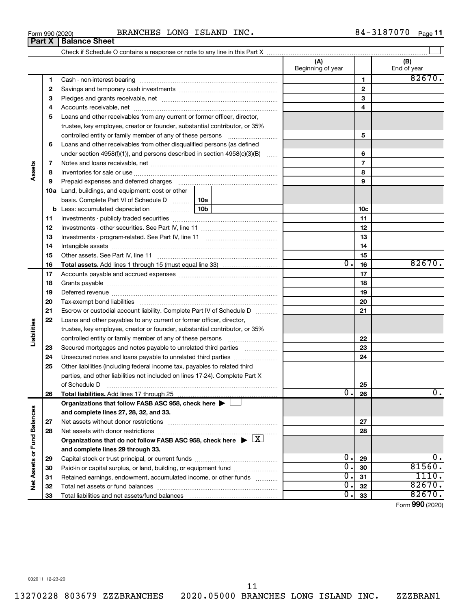**Part X Balance Sheet**

84-3187070 Page 11

|                             |          |                                                                                                                    |              | (A)<br>Beginning of year |                | (B)<br>End of year  |
|-----------------------------|----------|--------------------------------------------------------------------------------------------------------------------|--------------|--------------------------|----------------|---------------------|
|                             | 1        |                                                                                                                    |              |                          | $\mathbf{1}$   | 82670.              |
|                             | 2        |                                                                                                                    |              |                          | $\mathbf{2}$   |                     |
|                             | 3        |                                                                                                                    |              |                          | 3              |                     |
|                             | 4        |                                                                                                                    |              |                          | 4              |                     |
|                             | 5        | Loans and other receivables from any current or former officer, director,                                          |              |                          |                |                     |
|                             |          | trustee, key employee, creator or founder, substantial contributor, or 35%                                         |              |                          |                |                     |
|                             |          | controlled entity or family member of any of these persons                                                         |              |                          | 5              |                     |
|                             | 6        | Loans and other receivables from other disqualified persons (as defined                                            |              |                          |                |                     |
|                             |          | under section $4958(f)(1)$ , and persons described in section $4958(c)(3)(B)$                                      | <b>Salar</b> |                          | 6              |                     |
|                             | 7        |                                                                                                                    |              |                          | $\overline{7}$ |                     |
| Assets                      | 8        |                                                                                                                    |              |                          | 8              |                     |
|                             | 9        | Prepaid expenses and deferred charges                                                                              |              |                          | 9              |                     |
|                             |          | <b>10a</b> Land, buildings, and equipment: cost or other                                                           |              |                          |                |                     |
|                             |          | basis. Complete Part VI of Schedule D<br>  10a                                                                     |              |                          |                |                     |
|                             |          | 10 <sub>b</sub><br><b>b</b> Less: accumulated depreciation<br>$\ldots \ldots \ldots \ldots \ldots$                 |              |                          | 10c            |                     |
|                             | 11       |                                                                                                                    |              |                          | 11             |                     |
|                             | 12       |                                                                                                                    |              |                          | 12             |                     |
|                             | 13       |                                                                                                                    |              |                          | 13             |                     |
|                             | 14       |                                                                                                                    |              |                          | 14             |                     |
|                             | 15       |                                                                                                                    |              |                          | 15             |                     |
|                             | 16       | <b>Total assets.</b> Add lines 1 through 15 (must equal line 33) <i></i>                                           |              | $\overline{0}$ .         | 16             | 82670.              |
|                             | 17       |                                                                                                                    |              |                          | 17             |                     |
|                             | 18       |                                                                                                                    |              |                          | 18             |                     |
|                             | 19       |                                                                                                                    |              |                          | 19             |                     |
|                             | 20       |                                                                                                                    |              |                          | 20             |                     |
|                             | 21       | Escrow or custodial account liability. Complete Part IV of Schedule D                                              |              |                          | 21             |                     |
|                             | 22       | Loans and other payables to any current or former officer, director,                                               |              |                          |                |                     |
| Liabilities                 |          | trustee, key employee, creator or founder, substantial contributor, or 35%                                         |              |                          |                |                     |
|                             |          |                                                                                                                    |              |                          | 22             |                     |
|                             | 23       | Secured mortgages and notes payable to unrelated third parties                                                     |              |                          | 23             |                     |
|                             | 24       | Unsecured notes and loans payable to unrelated third parties                                                       |              |                          | 24             |                     |
|                             | 25       | Other liabilities (including federal income tax, payables to related third                                         |              |                          |                |                     |
|                             |          | parties, and other liabilities not included on lines 17-24). Complete Part X                                       |              |                          |                |                     |
|                             |          |                                                                                                                    |              | $\overline{0}$ .         | 25             | $\mathbf 0$ .       |
|                             | 26       |                                                                                                                    |              |                          | 26             |                     |
|                             |          | Organizations that follow FASB ASC 958, check here $\blacktriangleright$<br>and complete lines 27, 28, 32, and 33. |              |                          |                |                     |
|                             |          |                                                                                                                    |              |                          | 27             |                     |
|                             | 27       |                                                                                                                    |              |                          |                |                     |
|                             | 28       |                                                                                                                    |              |                          | 28             |                     |
|                             |          | Organizations that do not follow FASB ASC 958, check here $\triangleright \lfloor X \rfloor$                       |              |                          |                |                     |
| Net Assets or Fund Balances |          | and complete lines 29 through 33.                                                                                  |              | 0.                       |                | 0.                  |
|                             | 29       |                                                                                                                    |              | $\overline{0}$ .         | 29<br>30       | 81560.              |
|                             | 30       | Paid-in or capital surplus, or land, building, or equipment fund                                                   |              | $\overline{0}$ .         | 31             | 1110.               |
|                             | 31       | Retained earnings, endowment, accumulated income, or other funds                                                   |              | $\overline{0}$ .         | 32             | 82670.              |
|                             | 32<br>33 |                                                                                                                    |              | $\overline{0}$ .         | 33             | 82670.              |
|                             |          |                                                                                                                    |              |                          |                | $000 \text{ hours}$ |

Form (2020) **990**

13270228 803679 ZZZBRANCHES 2020.05000 BRANCHES LONG ISLAND INC. ZZZBRAN1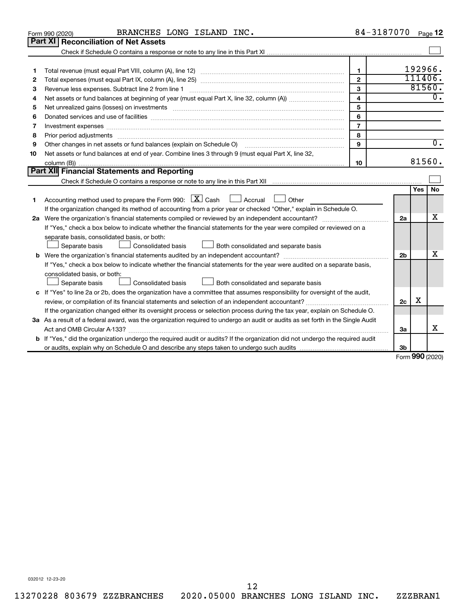|    | BRANCHES LONG ISLAND INC.<br>Form 990 (2020)                                                                                                                                                                                   | 84-3187070     |                |                     | Page 12          |
|----|--------------------------------------------------------------------------------------------------------------------------------------------------------------------------------------------------------------------------------|----------------|----------------|---------------------|------------------|
|    | <b>Part XI   Reconciliation of Net Assets</b>                                                                                                                                                                                  |                |                |                     |                  |
|    |                                                                                                                                                                                                                                |                |                |                     |                  |
|    |                                                                                                                                                                                                                                |                |                |                     |                  |
| 1  |                                                                                                                                                                                                                                | $\mathbf{1}$   |                | 192966.             |                  |
| 2  |                                                                                                                                                                                                                                | $\mathbf{2}$   |                | 111406.             |                  |
| з  | Revenue less expenses. Subtract line 2 from line 1                                                                                                                                                                             | 3              |                | 81560.              |                  |
| 4  |                                                                                                                                                                                                                                | $\overline{4}$ |                |                     | $0$ .            |
| 5  | Net unrealized gains (losses) on investments [111] matter in the contract of the contract of the contract of the contract of the contract of the contract of the contract of the contract of the contract of the contract of t | 5              |                |                     |                  |
| 6  |                                                                                                                                                                                                                                | 6              |                |                     |                  |
| 7  | Investment expenses www.communication.com/www.communication.com/www.communication.com/www.com                                                                                                                                  | $\overline{7}$ |                |                     |                  |
| 8  | Prior period adjustments www.communication.communication.communication.com/news-managements                                                                                                                                    | 8              |                |                     |                  |
| 9  | Other changes in net assets or fund balances (explain on Schedule O)                                                                                                                                                           | 9              |                |                     | $\overline{0}$ . |
| 10 | Net assets or fund balances at end of year. Combine lines 3 through 9 (must equal Part X, line 32,                                                                                                                             |                |                |                     |                  |
|    |                                                                                                                                                                                                                                | 10             |                | 81560.              |                  |
|    | Part XII Financial Statements and Reporting                                                                                                                                                                                    |                |                |                     |                  |
|    |                                                                                                                                                                                                                                |                |                |                     |                  |
| 1  | Accounting method used to prepare the Form 990: $X \subset X$ Cash<br>Accrual L<br>Other<br>If the organization changed its method of accounting from a prior year or checked "Other," explain in Schedule O.                  |                |                | Yes                 | No               |
|    |                                                                                                                                                                                                                                |                | 2a             |                     | x                |
|    | If "Yes," check a box below to indicate whether the financial statements for the year were compiled or reviewed on a                                                                                                           |                |                |                     |                  |
|    | separate basis, consolidated basis, or both:                                                                                                                                                                                   |                |                |                     |                  |
|    | Consolidated basis<br>Both consolidated and separate basis<br>Separate basis                                                                                                                                                   |                |                |                     |                  |
|    |                                                                                                                                                                                                                                |                | 2 <sub>b</sub> |                     | х                |
|    | If "Yes," check a box below to indicate whether the financial statements for the year were audited on a separate basis,                                                                                                        |                |                |                     |                  |
|    | consolidated basis, or both:                                                                                                                                                                                                   |                |                |                     |                  |
|    | Consolidated basis<br>Both consolidated and separate basis<br>Separate basis                                                                                                                                                   |                |                |                     |                  |
|    | c If "Yes" to line 2a or 2b, does the organization have a committee that assumes responsibility for oversight of the audit,                                                                                                    |                |                |                     |                  |
|    |                                                                                                                                                                                                                                |                | 2c             | х                   |                  |
|    | If the organization changed either its oversight process or selection process during the tax year, explain on Schedule O.                                                                                                      |                |                |                     |                  |
|    | 3a As a result of a federal award, was the organization required to undergo an audit or audits as set forth in the Single Audit                                                                                                |                |                |                     |                  |
|    |                                                                                                                                                                                                                                |                | 3a             |                     | х                |
|    | <b>b</b> If "Yes," did the organization undergo the required audit or audits? If the organization did not undergo the required audit                                                                                           |                |                |                     |                  |
|    |                                                                                                                                                                                                                                |                | 3b             | $000 \text{ hours}$ |                  |
|    |                                                                                                                                                                                                                                |                |                |                     |                  |

Form (2020) **990**

032012 12-23-20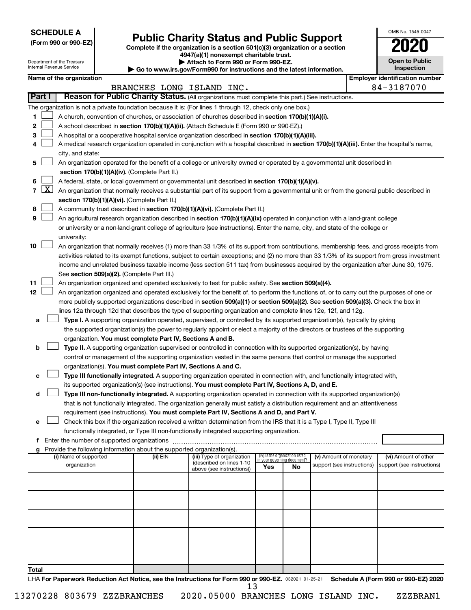**SCHEDULE A**

Department of the Treasury Internal Revenue Service

Form 990 or 990-EZ) **Public Charity Status and Public Support**<br>
Complete if the organization is a section 501(c)(3) organization or a section<br> **2020** 

**4947(a)(1) nonexempt charitable trust. | Attach to Form 990 or Form 990-EZ.** 

**| Go to www.irs.gov/Form990 for instructions and the latest information.**

|    | OMB No. 1545-0047                   |
|----|-------------------------------------|
|    | 2020                                |
|    | <b>Open to Public</b><br>Inspection |
| œ. | ntificatio                          |

| Name of the organization |  |
|--------------------------|--|
|--------------------------|--|

|       |                                                                                                                                                                                                               | Name of the organization                                                                                                                                                                    |          |                                                       |                             |                                 |                            |  | <b>Employer identification number</b> |  |  |  |
|-------|---------------------------------------------------------------------------------------------------------------------------------------------------------------------------------------------------------------|---------------------------------------------------------------------------------------------------------------------------------------------------------------------------------------------|----------|-------------------------------------------------------|-----------------------------|---------------------------------|----------------------------|--|---------------------------------------|--|--|--|
|       |                                                                                                                                                                                                               |                                                                                                                                                                                             |          | BRANCHES LONG ISLAND INC.                             |                             |                                 |                            |  | 84-3187070                            |  |  |  |
|       | Part I                                                                                                                                                                                                        | Reason for Public Charity Status. (All organizations must complete this part.) See instructions.                                                                                            |          |                                                       |                             |                                 |                            |  |                                       |  |  |  |
|       |                                                                                                                                                                                                               | The organization is not a private foundation because it is: (For lines 1 through 12, check only one box.)                                                                                   |          |                                                       |                             |                                 |                            |  |                                       |  |  |  |
| 1.    |                                                                                                                                                                                                               | A church, convention of churches, or association of churches described in section 170(b)(1)(A)(i).                                                                                          |          |                                                       |                             |                                 |                            |  |                                       |  |  |  |
| 2     |                                                                                                                                                                                                               | A school described in section 170(b)(1)(A)(ii). (Attach Schedule E (Form 990 or 990-EZ).)                                                                                                   |          |                                                       |                             |                                 |                            |  |                                       |  |  |  |
| 3.    |                                                                                                                                                                                                               | A hospital or a cooperative hospital service organization described in section 170(b)(1)(A)(iii).                                                                                           |          |                                                       |                             |                                 |                            |  |                                       |  |  |  |
| 4     |                                                                                                                                                                                                               | A medical research organization operated in conjunction with a hospital described in section 170(b)(1)(A)(iii). Enter the hospital's name,                                                  |          |                                                       |                             |                                 |                            |  |                                       |  |  |  |
|       |                                                                                                                                                                                                               | city, and state:                                                                                                                                                                            |          |                                                       |                             |                                 |                            |  |                                       |  |  |  |
| 5.    |                                                                                                                                                                                                               | An organization operated for the benefit of a college or university owned or operated by a governmental unit described in                                                                   |          |                                                       |                             |                                 |                            |  |                                       |  |  |  |
|       |                                                                                                                                                                                                               | section 170(b)(1)(A)(iv). (Complete Part II.)                                                                                                                                               |          |                                                       |                             |                                 |                            |  |                                       |  |  |  |
| 6.    |                                                                                                                                                                                                               | A federal, state, or local government or governmental unit described in section 170(b)(1)(A)(v).                                                                                            |          |                                                       |                             |                                 |                            |  |                                       |  |  |  |
|       |                                                                                                                                                                                                               | 7 $ X $ An organization that normally receives a substantial part of its support from a governmental unit or from the general public described in                                           |          |                                                       |                             |                                 |                            |  |                                       |  |  |  |
|       |                                                                                                                                                                                                               | section 170(b)(1)(A)(vi). (Complete Part II.)                                                                                                                                               |          |                                                       |                             |                                 |                            |  |                                       |  |  |  |
| 8     | A community trust described in section 170(b)(1)(A)(vi). (Complete Part II.)<br>An agricultural research organization described in section 170(b)(1)(A)(ix) operated in conjunction with a land-grant college |                                                                                                                                                                                             |          |                                                       |                             |                                 |                            |  |                                       |  |  |  |
| 9     |                                                                                                                                                                                                               |                                                                                                                                                                                             |          |                                                       |                             |                                 |                            |  |                                       |  |  |  |
|       |                                                                                                                                                                                                               | or university or a non-land-grant college of agriculture (see instructions). Enter the name, city, and state of the college or                                                              |          |                                                       |                             |                                 |                            |  |                                       |  |  |  |
|       |                                                                                                                                                                                                               | university:                                                                                                                                                                                 |          |                                                       |                             |                                 |                            |  |                                       |  |  |  |
| 10    |                                                                                                                                                                                                               | An organization that normally receives (1) more than 33 1/3% of its support from contributions, membership fees, and gross receipts from                                                    |          |                                                       |                             |                                 |                            |  |                                       |  |  |  |
|       |                                                                                                                                                                                                               | activities related to its exempt functions, subject to certain exceptions; and (2) no more than 33 1/3% of its support from gross investment                                                |          |                                                       |                             |                                 |                            |  |                                       |  |  |  |
|       |                                                                                                                                                                                                               | income and unrelated business taxable income (less section 511 tax) from businesses acquired by the organization after June 30, 1975.                                                       |          |                                                       |                             |                                 |                            |  |                                       |  |  |  |
|       |                                                                                                                                                                                                               | See section 509(a)(2). (Complete Part III.)                                                                                                                                                 |          |                                                       |                             |                                 |                            |  |                                       |  |  |  |
| 11    |                                                                                                                                                                                                               | An organization organized and operated exclusively to test for public safety. See section 509(a)(4).                                                                                        |          |                                                       |                             |                                 |                            |  |                                       |  |  |  |
| 12    |                                                                                                                                                                                                               | An organization organized and operated exclusively for the benefit of, to perform the functions of, or to carry out the purposes of one or                                                  |          |                                                       |                             |                                 |                            |  |                                       |  |  |  |
|       |                                                                                                                                                                                                               | more publicly supported organizations described in section 509(a)(1) or section 509(a)(2). See section 509(a)(3). Check the box in                                                          |          |                                                       |                             |                                 |                            |  |                                       |  |  |  |
|       |                                                                                                                                                                                                               | lines 12a through 12d that describes the type of supporting organization and complete lines 12e, 12f, and 12g.                                                                              |          |                                                       |                             |                                 |                            |  |                                       |  |  |  |
| а     |                                                                                                                                                                                                               | Type I. A supporting organization operated, supervised, or controlled by its supported organization(s), typically by giving                                                                 |          |                                                       |                             |                                 |                            |  |                                       |  |  |  |
|       |                                                                                                                                                                                                               | the supported organization(s) the power to regularly appoint or elect a majority of the directors or trustees of the supporting                                                             |          |                                                       |                             |                                 |                            |  |                                       |  |  |  |
|       |                                                                                                                                                                                                               | organization. You must complete Part IV, Sections A and B.                                                                                                                                  |          |                                                       |                             |                                 |                            |  |                                       |  |  |  |
| b     |                                                                                                                                                                                                               | Type II. A supporting organization supervised or controlled in connection with its supported organization(s), by having                                                                     |          |                                                       |                             |                                 |                            |  |                                       |  |  |  |
|       |                                                                                                                                                                                                               | control or management of the supporting organization vested in the same persons that control or manage the supported                                                                        |          |                                                       |                             |                                 |                            |  |                                       |  |  |  |
|       |                                                                                                                                                                                                               | organization(s). You must complete Part IV, Sections A and C.<br>Type III functionally integrated. A supporting organization operated in connection with, and functionally integrated with, |          |                                                       |                             |                                 |                            |  |                                       |  |  |  |
| с     |                                                                                                                                                                                                               | its supported organization(s) (see instructions). You must complete Part IV, Sections A, D, and E.                                                                                          |          |                                                       |                             |                                 |                            |  |                                       |  |  |  |
| d     |                                                                                                                                                                                                               | Type III non-functionally integrated. A supporting organization operated in connection with its supported organization(s)                                                                   |          |                                                       |                             |                                 |                            |  |                                       |  |  |  |
|       |                                                                                                                                                                                                               | that is not functionally integrated. The organization generally must satisfy a distribution requirement and an attentiveness                                                                |          |                                                       |                             |                                 |                            |  |                                       |  |  |  |
|       |                                                                                                                                                                                                               | requirement (see instructions). You must complete Part IV, Sections A and D, and Part V.                                                                                                    |          |                                                       |                             |                                 |                            |  |                                       |  |  |  |
|       |                                                                                                                                                                                                               | Check this box if the organization received a written determination from the IRS that it is a Type I, Type II, Type III                                                                     |          |                                                       |                             |                                 |                            |  |                                       |  |  |  |
|       |                                                                                                                                                                                                               | functionally integrated, or Type III non-functionally integrated supporting organization.                                                                                                   |          |                                                       |                             |                                 |                            |  |                                       |  |  |  |
|       |                                                                                                                                                                                                               | f Enter the number of supported organizations                                                                                                                                               |          |                                                       |                             |                                 |                            |  |                                       |  |  |  |
|       |                                                                                                                                                                                                               | g Provide the following information about the supported organization(s).                                                                                                                    |          |                                                       |                             |                                 |                            |  |                                       |  |  |  |
|       |                                                                                                                                                                                                               | (i) Name of supported                                                                                                                                                                       | (ii) EIN | (iii) Type of organization                            | in your governing document? | (iv) Is the organization listed | (v) Amount of monetary     |  | (vi) Amount of other                  |  |  |  |
|       |                                                                                                                                                                                                               | organization                                                                                                                                                                                |          | (described on lines 1-10<br>above (see instructions)) | Yes                         | No                              | support (see instructions) |  | support (see instructions)            |  |  |  |
|       |                                                                                                                                                                                                               |                                                                                                                                                                                             |          |                                                       |                             |                                 |                            |  |                                       |  |  |  |
|       |                                                                                                                                                                                                               |                                                                                                                                                                                             |          |                                                       |                             |                                 |                            |  |                                       |  |  |  |
|       |                                                                                                                                                                                                               |                                                                                                                                                                                             |          |                                                       |                             |                                 |                            |  |                                       |  |  |  |
|       |                                                                                                                                                                                                               |                                                                                                                                                                                             |          |                                                       |                             |                                 |                            |  |                                       |  |  |  |
|       |                                                                                                                                                                                                               |                                                                                                                                                                                             |          |                                                       |                             |                                 |                            |  |                                       |  |  |  |
|       |                                                                                                                                                                                                               |                                                                                                                                                                                             |          |                                                       |                             |                                 |                            |  |                                       |  |  |  |
|       |                                                                                                                                                                                                               |                                                                                                                                                                                             |          |                                                       |                             |                                 |                            |  |                                       |  |  |  |
|       |                                                                                                                                                                                                               |                                                                                                                                                                                             |          |                                                       |                             |                                 |                            |  |                                       |  |  |  |
|       |                                                                                                                                                                                                               |                                                                                                                                                                                             |          |                                                       |                             |                                 |                            |  |                                       |  |  |  |
|       |                                                                                                                                                                                                               |                                                                                                                                                                                             |          |                                                       |                             |                                 |                            |  |                                       |  |  |  |
| Total |                                                                                                                                                                                                               |                                                                                                                                                                                             |          |                                                       |                             |                                 |                            |  |                                       |  |  |  |
|       |                                                                                                                                                                                                               | LHA For Paperwork Reduction Act Notice, see the Instructions for Form 990 or 990-EZ. 032021 01-25-21                                                                                        |          |                                                       |                             |                                 |                            |  | Schedule A (Form 990 or 990-EZ) 2020  |  |  |  |

13270228 803679 ZZZBRANCHES 2020.05000 BRANCHES LONG ISLAND INC. ZZZBRAN1 13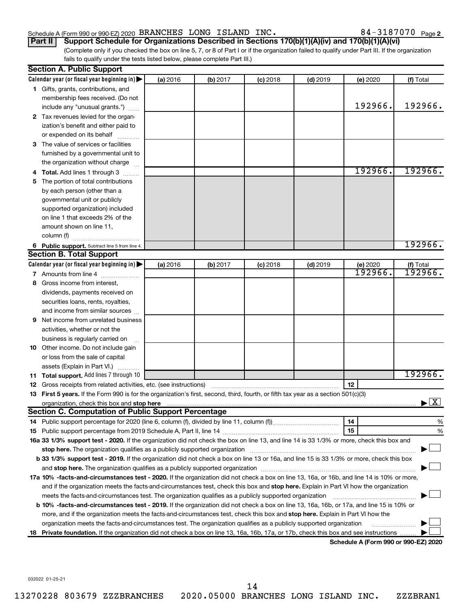# Schedule A (Form 990 or 990-EZ) 2020 BRANCHES LONG ISLAND INC.  $84-3187070$  Page

84-3187070 Page 2

(Complete only if you checked the box on line 5, 7, or 8 of Part I or if the organization failed to qualify under Part III. If the organization fails to qualify under the tests listed below, please complete Part III.) **Part II Support Schedule for Organizations Described in Sections 170(b)(1)(A)(iv) and 170(b)(1)(A)(vi)**

|     | <b>Section A. Public Support</b>                                                                                                                                                                                              |          |          |            |            |                                             |                                          |
|-----|-------------------------------------------------------------------------------------------------------------------------------------------------------------------------------------------------------------------------------|----------|----------|------------|------------|---------------------------------------------|------------------------------------------|
|     | Calendar year (or fiscal year beginning in)                                                                                                                                                                                   | (a) 2016 | (b) 2017 | $(c)$ 2018 | $(d)$ 2019 | (e) 2020                                    | (f) Total                                |
|     | 1 Gifts, grants, contributions, and                                                                                                                                                                                           |          |          |            |            |                                             |                                          |
|     | membership fees received. (Do not                                                                                                                                                                                             |          |          |            |            |                                             |                                          |
|     | include any "unusual grants.")                                                                                                                                                                                                |          |          |            |            | 192966.                                     | 192966.                                  |
|     | 2 Tax revenues levied for the organ-                                                                                                                                                                                          |          |          |            |            |                                             |                                          |
|     | ization's benefit and either paid to                                                                                                                                                                                          |          |          |            |            |                                             |                                          |
|     | or expended on its behalf                                                                                                                                                                                                     |          |          |            |            |                                             |                                          |
|     | 3 The value of services or facilities                                                                                                                                                                                         |          |          |            |            |                                             |                                          |
|     | furnished by a governmental unit to                                                                                                                                                                                           |          |          |            |            |                                             |                                          |
|     | the organization without charge                                                                                                                                                                                               |          |          |            |            |                                             |                                          |
|     | <b>Total.</b> Add lines 1 through 3                                                                                                                                                                                           |          |          |            |            | 192966.                                     | 192966.                                  |
| 5   | The portion of total contributions                                                                                                                                                                                            |          |          |            |            |                                             |                                          |
|     | by each person (other than a                                                                                                                                                                                                  |          |          |            |            |                                             |                                          |
|     | governmental unit or publicly                                                                                                                                                                                                 |          |          |            |            |                                             |                                          |
|     | supported organization) included                                                                                                                                                                                              |          |          |            |            |                                             |                                          |
|     | on line 1 that exceeds 2% of the                                                                                                                                                                                              |          |          |            |            |                                             |                                          |
|     | amount shown on line 11,                                                                                                                                                                                                      |          |          |            |            |                                             |                                          |
|     | column (f)                                                                                                                                                                                                                    |          |          |            |            |                                             |                                          |
|     | 6 Public support. Subtract line 5 from line 4.                                                                                                                                                                                |          |          |            |            |                                             | 192966.                                  |
|     | <b>Section B. Total Support</b>                                                                                                                                                                                               |          |          |            |            |                                             |                                          |
|     | Calendar year (or fiscal year beginning in)                                                                                                                                                                                   | (a) 2016 | (b) 2017 | $(c)$ 2018 | $(d)$ 2019 | (e) 2020                                    | (f) Total                                |
|     | 7 Amounts from line 4                                                                                                                                                                                                         |          |          |            |            | 192966.                                     | 192966.                                  |
| 8   | Gross income from interest,                                                                                                                                                                                                   |          |          |            |            |                                             |                                          |
|     | dividends, payments received on                                                                                                                                                                                               |          |          |            |            |                                             |                                          |
|     | securities loans, rents, royalties,                                                                                                                                                                                           |          |          |            |            |                                             |                                          |
|     | and income from similar sources                                                                                                                                                                                               |          |          |            |            |                                             |                                          |
| 9   | Net income from unrelated business                                                                                                                                                                                            |          |          |            |            |                                             |                                          |
|     | activities, whether or not the                                                                                                                                                                                                |          |          |            |            |                                             |                                          |
|     | business is regularly carried on                                                                                                                                                                                              |          |          |            |            |                                             |                                          |
|     | 10 Other income. Do not include gain                                                                                                                                                                                          |          |          |            |            |                                             |                                          |
|     | or loss from the sale of capital                                                                                                                                                                                              |          |          |            |            |                                             |                                          |
|     | assets (Explain in Part VI.)                                                                                                                                                                                                  |          |          |            |            |                                             |                                          |
|     | <b>11 Total support.</b> Add lines 7 through 10                                                                                                                                                                               |          |          |            |            |                                             | 192966.                                  |
|     | <b>12</b> Gross receipts from related activities, etc. (see instructions)                                                                                                                                                     |          |          |            |            | 12                                          |                                          |
|     | 13 First 5 years. If the Form 990 is for the organization's first, second, third, fourth, or fifth tax year as a section 501(c)(3)                                                                                            |          |          |            |            |                                             |                                          |
|     | organization, check this box and stop here                                                                                                                                                                                    |          |          |            |            |                                             | $\blacktriangleright$ $\boxed{\text{X}}$ |
|     | Section C. Computation of Public Support Percentage                                                                                                                                                                           |          |          |            |            |                                             |                                          |
|     |                                                                                                                                                                                                                               |          |          |            |            | 14                                          | %                                        |
|     |                                                                                                                                                                                                                               |          |          |            |            | 15                                          | %                                        |
|     | 16a 33 1/3% support test - 2020. If the organization did not check the box on line 13, and line 14 is 33 1/3% or more, check this box and                                                                                     |          |          |            |            |                                             |                                          |
|     | stop here. The organization qualifies as a publicly supported organization manufaction manufacture and the content of the state of the state of the state of the state of the state of the state of the state of the state of |          |          |            |            |                                             |                                          |
|     | b 33 1/3% support test - 2019. If the organization did not check a box on line 13 or 16a, and line 15 is 33 1/3% or more, check this box                                                                                      |          |          |            |            |                                             |                                          |
|     |                                                                                                                                                                                                                               |          |          |            |            |                                             |                                          |
|     | 17a 10% -facts-and-circumstances test - 2020. If the organization did not check a box on line 13, 16a, or 16b, and line 14 is 10% or more,                                                                                    |          |          |            |            |                                             |                                          |
|     | and if the organization meets the facts-and-circumstances test, check this box and stop here. Explain in Part VI how the organization                                                                                         |          |          |            |            |                                             |                                          |
|     | meets the facts-and-circumstances test. The organization qualifies as a publicly supported organization                                                                                                                       |          |          |            |            |                                             |                                          |
|     | <b>b 10% -facts-and-circumstances test - 2019.</b> If the organization did not check a box on line 13, 16a, 16b, or 17a, and line 15 is 10% or                                                                                |          |          |            |            |                                             |                                          |
|     | more, and if the organization meets the facts-and-circumstances test, check this box and stop here. Explain in Part VI how the                                                                                                |          |          |            |            |                                             |                                          |
|     | organization meets the facts-and-circumstances test. The organization qualifies as a publicly supported organization                                                                                                          |          |          |            |            |                                             |                                          |
| 18. | Private foundation. If the organization did not check a box on line 13, 16a, 16b, 17a, or 17b, check this box and see instructions                                                                                            |          |          |            |            |                                             |                                          |
|     |                                                                                                                                                                                                                               |          |          |            |            | <b>Cohodulo A (Earm 000 or 000 EZ) 2020</b> |                                          |

**Schedule A (Form 990 or 990-EZ) 2020**

032022 01-25-21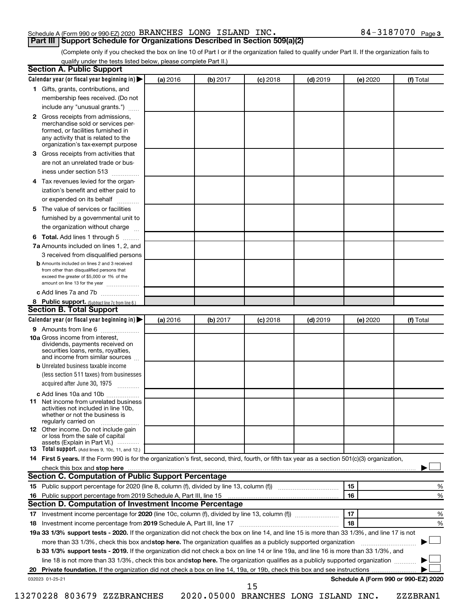## Schedule A (Form 990 or 990-EZ) 2020 BRANCHES LONG ISLAND INC.  $84-3187070$  Page **Part III Support Schedule for Organizations Described in Section 509(a)(2)**

(Complete only if you checked the box on line 10 of Part I or if the organization failed to qualify under Part II. If the organization fails to qualify under the tests listed below, please complete Part II.)

|              | Calendar year (or fiscal year beginning in)                                                                                                                                                                                                                      | (a) 2016 | (b) 2017 | $(c)$ 2018 | $(d)$ 2019 | (e) 2020 | (f) Total                            |
|--------------|------------------------------------------------------------------------------------------------------------------------------------------------------------------------------------------------------------------------------------------------------------------|----------|----------|------------|------------|----------|--------------------------------------|
|              | 1 Gifts, grants, contributions, and                                                                                                                                                                                                                              |          |          |            |            |          |                                      |
|              | membership fees received. (Do not                                                                                                                                                                                                                                |          |          |            |            |          |                                      |
|              | include any "unusual grants.")                                                                                                                                                                                                                                   |          |          |            |            |          |                                      |
| $\mathbf{2}$ | Gross receipts from admissions,<br>merchandise sold or services per-<br>formed, or facilities furnished in<br>any activity that is related to the                                                                                                                |          |          |            |            |          |                                      |
|              | organization's tax-exempt purpose                                                                                                                                                                                                                                |          |          |            |            |          |                                      |
| З.           | Gross receipts from activities that                                                                                                                                                                                                                              |          |          |            |            |          |                                      |
|              | are not an unrelated trade or bus-<br>iness under section 513                                                                                                                                                                                                    |          |          |            |            |          |                                      |
| 4            | Tax revenues levied for the organ-                                                                                                                                                                                                                               |          |          |            |            |          |                                      |
|              | ization's benefit and either paid to<br>or expended on its behalf                                                                                                                                                                                                |          |          |            |            |          |                                      |
| 5            | The value of services or facilities                                                                                                                                                                                                                              |          |          |            |            |          |                                      |
|              | furnished by a governmental unit to<br>the organization without charge                                                                                                                                                                                           |          |          |            |            |          |                                      |
|              |                                                                                                                                                                                                                                                                  |          |          |            |            |          |                                      |
| 6            | Total. Add lines 1 through 5                                                                                                                                                                                                                                     |          |          |            |            |          |                                      |
|              | 7a Amounts included on lines 1, 2, and                                                                                                                                                                                                                           |          |          |            |            |          |                                      |
|              | 3 received from disqualified persons<br><b>b</b> Amounts included on lines 2 and 3 received                                                                                                                                                                      |          |          |            |            |          |                                      |
|              | from other than disqualified persons that<br>exceed the greater of \$5,000 or 1% of the<br>amount on line 13 for the year                                                                                                                                        |          |          |            |            |          |                                      |
|              | c Add lines 7a and 7b                                                                                                                                                                                                                                            |          |          |            |            |          |                                      |
|              | 8 Public support. (Subtract line 7c from line 6.)                                                                                                                                                                                                                |          |          |            |            |          |                                      |
|              | <b>Section B. Total Support</b>                                                                                                                                                                                                                                  |          |          |            |            |          |                                      |
|              | Calendar year (or fiscal year beginning in)                                                                                                                                                                                                                      | (a) 2016 | (b) 2017 | $(c)$ 2018 | $(d)$ 2019 | (e) 2020 | (f) Total                            |
|              | 9 Amounts from line 6                                                                                                                                                                                                                                            |          |          |            |            |          |                                      |
|              | <b>10a</b> Gross income from interest,<br>dividends, payments received on<br>securities loans, rents, royalties,<br>and income from similar sources                                                                                                              |          |          |            |            |          |                                      |
|              | <b>b</b> Unrelated business taxable income                                                                                                                                                                                                                       |          |          |            |            |          |                                      |
|              | (less section 511 taxes) from businesses<br>acquired after June 30, 1975<br>$\overline{\phantom{a}}$                                                                                                                                                             |          |          |            |            |          |                                      |
|              | c Add lines 10a and 10b                                                                                                                                                                                                                                          |          |          |            |            |          |                                      |
|              | 11 Net income from unrelated business<br>activities not included in line 10b.<br>whether or not the business is<br>regularly carried on                                                                                                                          |          |          |            |            |          |                                      |
|              | <b>12</b> Other income. Do not include gain<br>or loss from the sale of capital                                                                                                                                                                                  |          |          |            |            |          |                                      |
|              | assets (Explain in Part VI.) …………<br><b>13</b> Total support. (Add lines 9, 10c, 11, and 12.)                                                                                                                                                                    |          |          |            |            |          |                                      |
|              | 14 First 5 years. If the Form 990 is for the organization's first, second, third, fourth, or fifth tax year as a section 501(c)(3) organization,                                                                                                                 |          |          |            |            |          |                                      |
|              | check this box and stop here                                                                                                                                                                                                                                     |          |          |            |            |          |                                      |
|              | <b>Section C. Computation of Public Support Percentage</b>                                                                                                                                                                                                       |          |          |            |            |          |                                      |
|              |                                                                                                                                                                                                                                                                  |          |          |            |            | 15       | %                                    |
|              | 16 Public support percentage from 2019 Schedule A, Part III, line 15                                                                                                                                                                                             |          |          |            |            | 16       | %                                    |
|              | Section D. Computation of Investment Income Percentage                                                                                                                                                                                                           |          |          |            |            |          |                                      |
|              |                                                                                                                                                                                                                                                                  |          |          |            |            | 17       | %                                    |
| 18           |                                                                                                                                                                                                                                                                  |          |          |            |            | 18       | %                                    |
|              | 19a 33 1/3% support tests - 2020. If the organization did not check the box on line 14, and line 15 is more than 33 1/3%, and line 17 is not                                                                                                                     |          |          |            |            |          |                                      |
|              |                                                                                                                                                                                                                                                                  |          |          |            |            |          |                                      |
|              | more than 33 1/3%, check this box and stop here. The organization qualifies as a publicly supported organization<br><b>b 33 1/3% support tests - 2019.</b> If the organization did not check a box on line 14 or line 19a, and line 16 is more than 33 1/3%, and |          |          |            |            |          |                                      |
|              | line 18 is not more than 33 1/3%, check this box and stop here. The organization qualifies as a publicly supported organization                                                                                                                                  |          |          |            |            |          |                                      |
| 20           |                                                                                                                                                                                                                                                                  |          |          |            |            |          |                                      |
|              | 032023 01-25-21                                                                                                                                                                                                                                                  |          |          |            |            |          | Schedule A (Form 990 or 990-EZ) 2020 |
|              |                                                                                                                                                                                                                                                                  |          |          | 15         |            |          |                                      |
|              |                                                                                                                                                                                                                                                                  |          |          |            |            |          |                                      |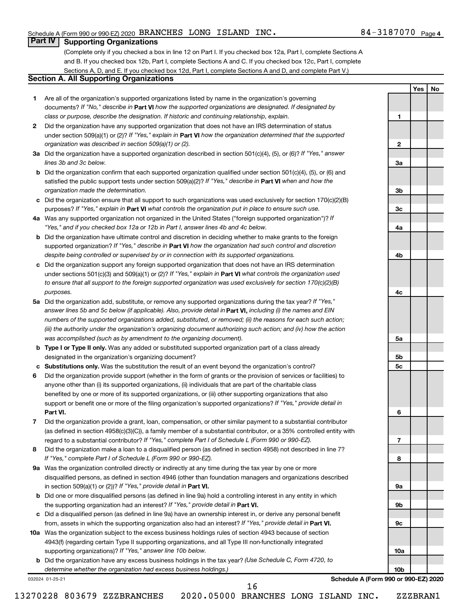**1**

**2**

**3a**

**3b**

**3c**

**4a**

**4b**

**4c**

**5a**

**5b 5c**

**6**

**7**

**8**

**9a**

**9b**

**9c**

**10a**

**10b**

**Yes No**

# **Part IV Supporting Organizations**

(Complete only if you checked a box in line 12 on Part I. If you checked box 12a, Part I, complete Sections A and B. If you checked box 12b, Part I, complete Sections A and C. If you checked box 12c, Part I, complete Sections A, D, and E. If you checked box 12d, Part I, complete Sections A and D, and complete Part V.)

# **Section A. All Supporting Organizations**

- **1** Are all of the organization's supported organizations listed by name in the organization's governing documents? If "No," describe in Part VI how the supported organizations are designated. If designated by *class or purpose, describe the designation. If historic and continuing relationship, explain.*
- **2** Did the organization have any supported organization that does not have an IRS determination of status under section 509(a)(1) or (2)? If "Yes," explain in Part **VI** how the organization determined that the supported *organization was described in section 509(a)(1) or (2).*
- **3a** Did the organization have a supported organization described in section 501(c)(4), (5), or (6)? If "Yes," answer *lines 3b and 3c below.*
- **b** Did the organization confirm that each supported organization qualified under section 501(c)(4), (5), or (6) and satisfied the public support tests under section 509(a)(2)? If "Yes," describe in Part VI when and how the *organization made the determination.*
- **c** Did the organization ensure that all support to such organizations was used exclusively for section 170(c)(2)(B) purposes? If "Yes," explain in Part VI what controls the organization put in place to ensure such use.
- **4 a** *If* Was any supported organization not organized in the United States ("foreign supported organization")? *"Yes," and if you checked box 12a or 12b in Part I, answer lines 4b and 4c below.*
- **b** Did the organization have ultimate control and discretion in deciding whether to make grants to the foreign supported organization? If "Yes," describe in Part VI how the organization had such control and discretion *despite being controlled or supervised by or in connection with its supported organizations.*
- **c** Did the organization support any foreign supported organization that does not have an IRS determination under sections 501(c)(3) and 509(a)(1) or (2)? If "Yes," explain in Part VI what controls the organization used *to ensure that all support to the foreign supported organization was used exclusively for section 170(c)(2)(B) purposes.*
- **5a** Did the organization add, substitute, or remove any supported organizations during the tax year? If "Yes," answer lines 5b and 5c below (if applicable). Also, provide detail in **Part VI,** including (i) the names and EIN *numbers of the supported organizations added, substituted, or removed; (ii) the reasons for each such action; (iii) the authority under the organization's organizing document authorizing such action; and (iv) how the action was accomplished (such as by amendment to the organizing document).*
- **b** Type I or Type II only. Was any added or substituted supported organization part of a class already designated in the organization's organizing document?
- **c Substitutions only.**  Was the substitution the result of an event beyond the organization's control?
- **6** Did the organization provide support (whether in the form of grants or the provision of services or facilities) to **Part VI.** support or benefit one or more of the filing organization's supported organizations? If "Yes," provide detail in anyone other than (i) its supported organizations, (ii) individuals that are part of the charitable class benefited by one or more of its supported organizations, or (iii) other supporting organizations that also
- **7** Did the organization provide a grant, loan, compensation, or other similar payment to a substantial contributor regard to a substantial contributor? If "Yes," complete Part I of Schedule L (Form 990 or 990-EZ). (as defined in section 4958(c)(3)(C)), a family member of a substantial contributor, or a 35% controlled entity with
- **8** Did the organization make a loan to a disqualified person (as defined in section 4958) not described in line 7? *If "Yes," complete Part I of Schedule L (Form 990 or 990-EZ).*
- **9 a** Was the organization controlled directly or indirectly at any time during the tax year by one or more in section 509(a)(1) or (2))? If "Yes," provide detail in **Part VI.** disqualified persons, as defined in section 4946 (other than foundation managers and organizations described
- **b** Did one or more disqualified persons (as defined in line 9a) hold a controlling interest in any entity in which the supporting organization had an interest? If "Yes," provide detail in Part VI.
- **c** Did a disqualified person (as defined in line 9a) have an ownership interest in, or derive any personal benefit from, assets in which the supporting organization also had an interest? If "Yes," provide detail in Part VI.
- **10 a** Was the organization subject to the excess business holdings rules of section 4943 because of section supporting organizations)? If "Yes," answer line 10b below. 4943(f) (regarding certain Type II supporting organizations, and all Type III non-functionally integrated
	- **b** Did the organization have any excess business holdings in the tax year? (Use Schedule C, Form 4720, to *determine whether the organization had excess business holdings.)*

032024 01-25-21

**Schedule A (Form 990 or 990-EZ) 2020**

13270228 803679 ZZZBRANCHES 2020.05000 BRANCHES LONG ISLAND INC. ZZZBRAN1

16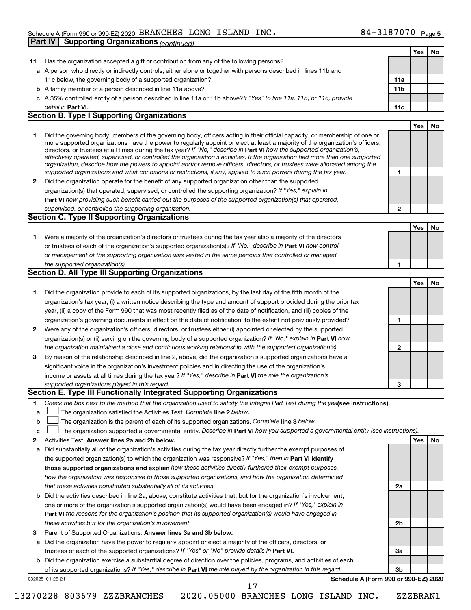# Schedule A (Form 990 or 990-EZ) 2020 BRANCHES LONG ISLAND INC.  $84-3187070$  Page **Part IV Supporting Organizations** *(continued)*

|    |                                                                                                                                                                                                                                              |                | Yes | No |
|----|----------------------------------------------------------------------------------------------------------------------------------------------------------------------------------------------------------------------------------------------|----------------|-----|----|
| 11 | Has the organization accepted a gift or contribution from any of the following persons?                                                                                                                                                      |                |     |    |
|    | a A person who directly or indirectly controls, either alone or together with persons described in lines 11b and                                                                                                                             |                |     |    |
|    | 11c below, the governing body of a supported organization?                                                                                                                                                                                   | 11a            |     |    |
|    | <b>b</b> A family member of a person described in line 11a above?                                                                                                                                                                            | 11b            |     |    |
|    | c A 35% controlled entity of a person described in line 11a or 11b above? If "Yes" to line 11a, 11b, or 11c, provide                                                                                                                         |                |     |    |
|    | detail in Part VI.                                                                                                                                                                                                                           | 11c            |     |    |
|    | <b>Section B. Type I Supporting Organizations</b>                                                                                                                                                                                            |                |     |    |
|    |                                                                                                                                                                                                                                              |                | Yes | No |
| 1  | Did the governing body, members of the governing body, officers acting in their official capacity, or membership of one or                                                                                                                   |                |     |    |
|    | more supported organizations have the power to regularly appoint or elect at least a majority of the organization's officers,                                                                                                                |                |     |    |
|    | directors, or trustees at all times during the tax year? If "No," describe in Part VI how the supported organization(s)                                                                                                                      |                |     |    |
|    | effectively operated, supervised, or controlled the organization's activities. If the organization had more than one supported                                                                                                               |                |     |    |
|    | organization, describe how the powers to appoint and/or remove officers, directors, or trustees were allocated among the<br>supported organizations and what conditions or restrictions, if any, applied to such powers during the tax year. | 1              |     |    |
|    |                                                                                                                                                                                                                                              |                |     |    |
| 2  | Did the organization operate for the benefit of any supported organization other than the supported                                                                                                                                          |                |     |    |
|    | organization(s) that operated, supervised, or controlled the supporting organization? If "Yes," explain in                                                                                                                                   |                |     |    |
|    | Part VI how providing such benefit carried out the purposes of the supported organization(s) that operated,                                                                                                                                  |                |     |    |
|    | supervised, or controlled the supporting organization.<br>Section C. Type II Supporting Organizations                                                                                                                                        | $\mathbf{2}$   |     |    |
|    |                                                                                                                                                                                                                                              |                |     |    |
|    |                                                                                                                                                                                                                                              |                | Yes | No |
| 1  | Were a majority of the organization's directors or trustees during the tax year also a majority of the directors                                                                                                                             |                |     |    |
|    | or trustees of each of the organization's supported organization(s)? If "No," describe in Part VI how control                                                                                                                                |                |     |    |
|    | or management of the supporting organization was vested in the same persons that controlled or managed                                                                                                                                       |                |     |    |
|    | the supported organization(s).                                                                                                                                                                                                               | 1              |     |    |
|    | Section D. All Type III Supporting Organizations                                                                                                                                                                                             |                |     |    |
|    |                                                                                                                                                                                                                                              |                | Yes | No |
| 1  | Did the organization provide to each of its supported organizations, by the last day of the fifth month of the                                                                                                                               |                |     |    |
|    | organization's tax year, (i) a written notice describing the type and amount of support provided during the prior tax                                                                                                                        |                |     |    |
|    | year, (ii) a copy of the Form 990 that was most recently filed as of the date of notification, and (iii) copies of the                                                                                                                       |                |     |    |
|    | organization's governing documents in effect on the date of notification, to the extent not previously provided?                                                                                                                             | 1              |     |    |
| 2  | Were any of the organization's officers, directors, or trustees either (i) appointed or elected by the supported                                                                                                                             |                |     |    |
|    | organization(s) or (ii) serving on the governing body of a supported organization? If "No," explain in Part VI how                                                                                                                           |                |     |    |
|    | the organization maintained a close and continuous working relationship with the supported organization(s).                                                                                                                                  | $\mathbf{2}$   |     |    |
| 3  | By reason of the relationship described in line 2, above, did the organization's supported organizations have a                                                                                                                              |                |     |    |
|    | significant voice in the organization's investment policies and in directing the use of the organization's                                                                                                                                   |                |     |    |
|    | income or assets at all times during the tax year? If "Yes," describe in Part VI the role the organization's                                                                                                                                 |                |     |    |
|    | supported organizations played in this regard.                                                                                                                                                                                               | 3              |     |    |
|    | Section E. Type III Functionally Integrated Supporting Organizations                                                                                                                                                                         |                |     |    |
| 1. | Check the box next to the method that the organization used to satisfy the Integral Part Test during the yealsee instructions).                                                                                                              |                |     |    |
| a  | The organization satisfied the Activities Test. Complete line 2 below.                                                                                                                                                                       |                |     |    |
| b  | The organization is the parent of each of its supported organizations. Complete line 3 below.                                                                                                                                                |                |     |    |
| c  | The organization supported a governmental entity. Describe in Part VI how you supported a governmental entity (see instructions).                                                                                                            |                |     |    |
| 2  | Activities Test. Answer lines 2a and 2b below.                                                                                                                                                                                               |                | Yes | No |
| а  | Did substantially all of the organization's activities during the tax year directly further the exempt purposes of                                                                                                                           |                |     |    |
|    | the supported organization(s) to which the organization was responsive? If "Yes," then in Part VI identify                                                                                                                                   |                |     |    |
|    | those supported organizations and explain how these activities directly furthered their exempt purposes,                                                                                                                                     |                |     |    |
|    | how the organization was responsive to those supported organizations, and how the organization determined                                                                                                                                    |                |     |    |
|    | that these activities constituted substantially all of its activities.                                                                                                                                                                       | 2a             |     |    |
| b  | Did the activities described in line 2a, above, constitute activities that, but for the organization's involvement,                                                                                                                          |                |     |    |
|    | one or more of the organization's supported organization(s) would have been engaged in? If "Yes," explain in                                                                                                                                 |                |     |    |
|    | <b>Part VI</b> the reasons for the organization's position that its supported organization(s) would have engaged in                                                                                                                          |                |     |    |
|    | these activities but for the organization's involvement.                                                                                                                                                                                     | 2 <sub>b</sub> |     |    |
|    |                                                                                                                                                                                                                                              |                |     |    |
| 3  | Parent of Supported Organizations. Answer lines 3a and 3b below.                                                                                                                                                                             |                |     |    |
| a  | Did the organization have the power to regularly appoint or elect a majority of the officers, directors, or                                                                                                                                  |                |     |    |
|    | trustees of each of the supported organizations? If "Yes" or "No" provide details in Part VI.                                                                                                                                                | За             |     |    |
| b  | Did the organization exercise a substantial degree of direction over the policies, programs, and activities of each                                                                                                                          |                |     |    |
|    | of its supported organizations? If "Yes," describe in Part VI the role played by the organization in this regard.                                                                                                                            | 3b             |     |    |
|    | Schedule A (Form 990 or 990-EZ) 2020<br>032025 01-25-21<br>17                                                                                                                                                                                |                |     |    |
|    |                                                                                                                                                                                                                                              |                |     |    |

13270228 803679 ZZZBRANCHES 2020.05000 BRANCHES LONG ISLAND INC. ZZZBRAN1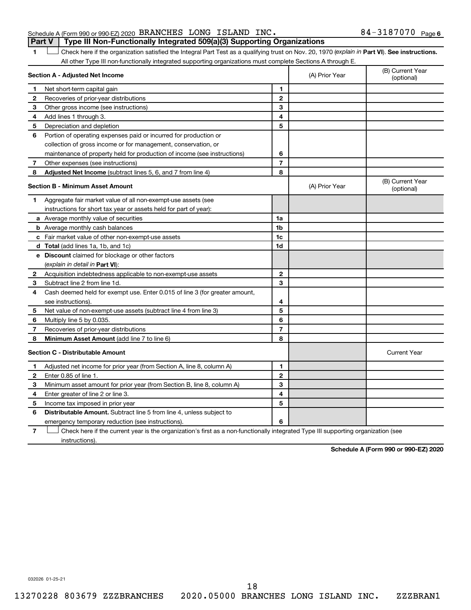## Schedule A (Form 990 or 990-EZ) 2020 BRANCHES LONG ISLAND INC.  $84-3187070$  Page **Part V Type III Non-Functionally Integrated 509(a)(3) Supporting Organizations**

1 **Letter See instructions.** Check here if the organization satisfied the Integral Part Test as a qualifying trust on Nov. 20, 1970 (*explain in* Part **VI**). See instructions. All other Type III non-functionally integrated supporting organizations must complete Sections A through E.

| Section A - Adjusted Net Income         |                                                                             |                | (A) Prior Year | (B) Current Year<br>(optional) |
|-----------------------------------------|-----------------------------------------------------------------------------|----------------|----------------|--------------------------------|
| 1                                       | Net short-term capital gain                                                 |                |                |                                |
| 2                                       | Recoveries of prior-year distributions                                      | $\mathbf{2}$   |                |                                |
| 3                                       | Other gross income (see instructions)                                       | 3              |                |                                |
| 4                                       | Add lines 1 through 3.                                                      | 4              |                |                                |
| 5                                       | Depreciation and depletion                                                  | 5              |                |                                |
| 6                                       | Portion of operating expenses paid or incurred for production or            |                |                |                                |
|                                         | collection of gross income or for management, conservation, or              |                |                |                                |
|                                         | maintenance of property held for production of income (see instructions)    | 6              |                |                                |
| 7                                       | Other expenses (see instructions)                                           | $\overline{7}$ |                |                                |
| 8                                       | Adjusted Net Income (subtract lines 5, 6, and 7 from line 4)                | 8              |                |                                |
| <b>Section B - Minimum Asset Amount</b> |                                                                             |                | (A) Prior Year | (B) Current Year<br>(optional) |
| 1.                                      | Aggregate fair market value of all non-exempt-use assets (see               |                |                |                                |
|                                         | instructions for short tax year or assets held for part of year):           |                |                |                                |
|                                         | <b>a</b> Average monthly value of securities                                | 1a             |                |                                |
|                                         | <b>b</b> Average monthly cash balances                                      | 1b             |                |                                |
|                                         | <b>c</b> Fair market value of other non-exempt-use assets                   | 1c             |                |                                |
|                                         | d Total (add lines 1a, 1b, and 1c)                                          | 1d             |                |                                |
|                                         | e Discount claimed for blockage or other factors                            |                |                |                                |
|                                         | (explain in detail in Part VI):                                             |                |                |                                |
| 2                                       | Acquisition indebtedness applicable to non-exempt-use assets                | $\mathbf{2}$   |                |                                |
| 3                                       | Subtract line 2 from line 1d.                                               | 3              |                |                                |
| 4                                       | Cash deemed held for exempt use. Enter 0.015 of line 3 (for greater amount, |                |                |                                |
|                                         | see instructions).                                                          | 4              |                |                                |
| 5                                       | Net value of non-exempt-use assets (subtract line 4 from line 3)            | 5              |                |                                |
| 6                                       | Multiply line 5 by 0.035.                                                   | 6              |                |                                |
| 7                                       | Recoveries of prior-year distributions                                      | $\overline{7}$ |                |                                |
| 8                                       | <b>Minimum Asset Amount (add line 7 to line 6)</b>                          | 8              |                |                                |
| <b>Section C - Distributable Amount</b> |                                                                             |                |                | <b>Current Year</b>            |
| 1                                       | Adjusted net income for prior year (from Section A, line 8, column A)       | 1              |                |                                |
| 2                                       | Enter 0.85 of line 1.                                                       | $\mathbf{2}$   |                |                                |
| 3                                       | Minimum asset amount for prior year (from Section B, line 8, column A)      | 3              |                |                                |
| 4                                       | Enter greater of line 2 or line 3.                                          | 4              |                |                                |
| 5                                       | Income tax imposed in prior year                                            | 5              |                |                                |
| 6                                       | Distributable Amount. Subtract line 5 from line 4, unless subject to        |                |                |                                |
|                                         | emergency temporary reduction (see instructions).                           | 6              |                |                                |
|                                         |                                                                             |                |                |                                |

**7** Check here if the current year is the organization's first as a non-functionally integrated Type III supporting organization (see † instructions).

**Schedule A (Form 990 or 990-EZ) 2020**

032026 01-25-21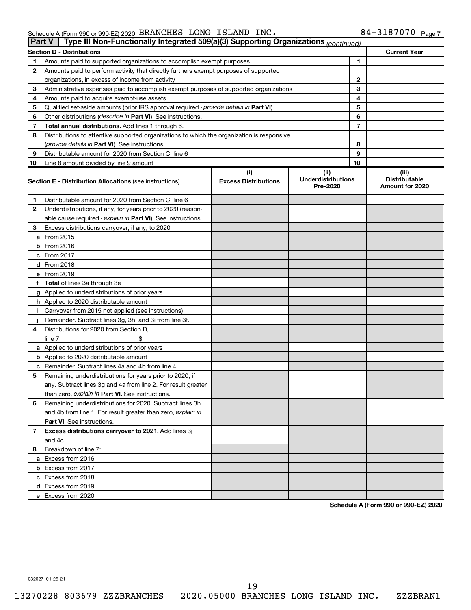#### Schedule A (Form 990 or 990-EZ) 2020 BRANCHES LONG ISLAND INC  $\cdot$  84 - 318 / 0 / 0 Page BRANCHES LONG ISLAND INC. 84-3187070

|    | Type III Non-Functionally Integrated 509(a)(3) Supporting Organizations (continued)<br><b>Part V</b>                                                  |  |   |    |                                                  |  |  |
|----|-------------------------------------------------------------------------------------------------------------------------------------------------------|--|---|----|--------------------------------------------------|--|--|
|    | <b>Section D - Distributions</b>                                                                                                                      |  |   |    | <b>Current Year</b>                              |  |  |
| 1  | Amounts paid to supported organizations to accomplish exempt purposes                                                                                 |  | 1 |    |                                                  |  |  |
| 2  | Amounts paid to perform activity that directly furthers exempt purposes of supported                                                                  |  |   |    |                                                  |  |  |
|    | organizations, in excess of income from activity                                                                                                      |  | 2 |    |                                                  |  |  |
| 3  | Administrative expenses paid to accomplish exempt purposes of supported organizations                                                                 |  | 3 |    |                                                  |  |  |
| 4  | Amounts paid to acquire exempt-use assets                                                                                                             |  |   | 4  |                                                  |  |  |
| 5  | Qualified set-aside amounts (prior IRS approval required - provide details in Part VI)                                                                |  |   | 5  |                                                  |  |  |
| 6  | Other distributions ( <i>describe in Part VI</i> ). See instructions.                                                                                 |  |   | 6  |                                                  |  |  |
| 7  | Total annual distributions. Add lines 1 through 6.                                                                                                    |  | 7 |    |                                                  |  |  |
| 8  | Distributions to attentive supported organizations to which the organization is responsive                                                            |  |   |    |                                                  |  |  |
|    | (provide details in Part VI). See instructions.                                                                                                       |  |   | 8  |                                                  |  |  |
| 9  | Distributable amount for 2020 from Section C, line 6                                                                                                  |  |   | 9  |                                                  |  |  |
| 10 | Line 8 amount divided by line 9 amount                                                                                                                |  |   | 10 |                                                  |  |  |
|    | (i)<br>(ii)<br><b>Underdistributions</b><br><b>Excess Distributions</b><br><b>Section E - Distribution Allocations (see instructions)</b><br>Pre-2020 |  |   |    | (iii)<br><b>Distributable</b><br>Amount for 2020 |  |  |
| 1  | Distributable amount for 2020 from Section C, line 6                                                                                                  |  |   |    |                                                  |  |  |
| 2  | Underdistributions, if any, for years prior to 2020 (reason-                                                                                          |  |   |    |                                                  |  |  |
|    | able cause required - explain in Part VI). See instructions.                                                                                          |  |   |    |                                                  |  |  |
| 3  | Excess distributions carryover, if any, to 2020                                                                                                       |  |   |    |                                                  |  |  |
|    | a From 2015                                                                                                                                           |  |   |    |                                                  |  |  |
|    | <b>b</b> From 2016                                                                                                                                    |  |   |    |                                                  |  |  |
|    | c From 2017                                                                                                                                           |  |   |    |                                                  |  |  |
|    | d From 2018                                                                                                                                           |  |   |    |                                                  |  |  |
|    | e From 2019                                                                                                                                           |  |   |    |                                                  |  |  |
|    | f Total of lines 3a through 3e                                                                                                                        |  |   |    |                                                  |  |  |
|    | g Applied to underdistributions of prior years                                                                                                        |  |   |    |                                                  |  |  |
|    | <b>h</b> Applied to 2020 distributable amount                                                                                                         |  |   |    |                                                  |  |  |
| Ť. | Carryover from 2015 not applied (see instructions)                                                                                                    |  |   |    |                                                  |  |  |
|    | Remainder. Subtract lines 3g, 3h, and 3i from line 3f.                                                                                                |  |   |    |                                                  |  |  |
| 4  | Distributions for 2020 from Section D,                                                                                                                |  |   |    |                                                  |  |  |
|    | line $7:$                                                                                                                                             |  |   |    |                                                  |  |  |
|    | a Applied to underdistributions of prior years                                                                                                        |  |   |    |                                                  |  |  |
|    | <b>b</b> Applied to 2020 distributable amount                                                                                                         |  |   |    |                                                  |  |  |
|    | c Remainder. Subtract lines 4a and 4b from line 4.                                                                                                    |  |   |    |                                                  |  |  |
| 5  | Remaining underdistributions for years prior to 2020, if                                                                                              |  |   |    |                                                  |  |  |
|    | any. Subtract lines 3g and 4a from line 2. For result greater                                                                                         |  |   |    |                                                  |  |  |
|    | than zero, explain in Part VI. See instructions.                                                                                                      |  |   |    |                                                  |  |  |
| 6  | Remaining underdistributions for 2020. Subtract lines 3h                                                                                              |  |   |    |                                                  |  |  |
|    | and 4b from line 1. For result greater than zero, explain in                                                                                          |  |   |    |                                                  |  |  |
|    | <b>Part VI.</b> See instructions.                                                                                                                     |  |   |    |                                                  |  |  |
| 7  | Excess distributions carryover to 2021. Add lines 3j                                                                                                  |  |   |    |                                                  |  |  |
|    | and 4c.                                                                                                                                               |  |   |    |                                                  |  |  |
| 8  | Breakdown of line 7:                                                                                                                                  |  |   |    |                                                  |  |  |
|    | a Excess from 2016                                                                                                                                    |  |   |    |                                                  |  |  |
|    | <b>b</b> Excess from 2017                                                                                                                             |  |   |    |                                                  |  |  |
|    | c Excess from 2018                                                                                                                                    |  |   |    |                                                  |  |  |
|    | d Excess from 2019                                                                                                                                    |  |   |    |                                                  |  |  |
|    | e Excess from 2020                                                                                                                                    |  |   |    |                                                  |  |  |

**Schedule A (Form 990 or 990-EZ) 2020**

032027 01-25-21

19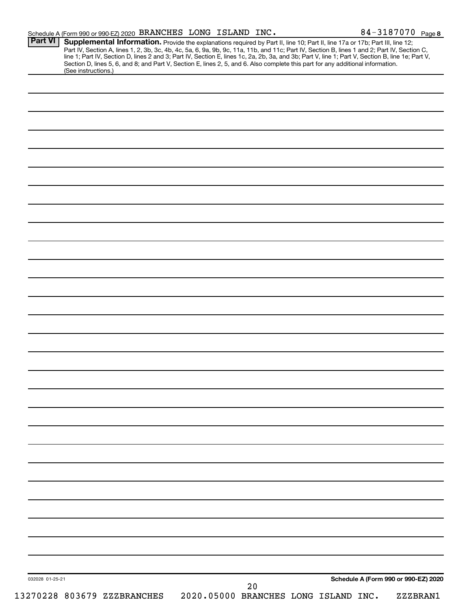| Schedule A (Form 990 or 990-EZ) 2020 BRANCHES LONG ISLAND INC.                                                                                                                                                                                                                                                                                                                                                                                                                                                                                                                         |  |                                            |  | 84-3187070 Page 8                    |
|----------------------------------------------------------------------------------------------------------------------------------------------------------------------------------------------------------------------------------------------------------------------------------------------------------------------------------------------------------------------------------------------------------------------------------------------------------------------------------------------------------------------------------------------------------------------------------------|--|--------------------------------------------|--|--------------------------------------|
| <b>Part VI</b><br>Supplemental Information. Provide the explanations required by Part II, line 10; Part II, line 17a or 17b; Part III, line 12;<br>Part IV, Section A, lines 1, 2, 3b, 3c, 4b, 4c, 5a, 6, 9a, 9b, 9c, 11a, 11b, and 11c; Part IV, Section B, lines 1 and 2; Part IV, Section C,<br>line 1; Part IV, Section D, lines 2 and 3; Part IV, Section E, lines 1c, 2a, 2b, 3a, and 3b; Part V, line 1; Part V, Section B, line 1e; Part V,<br>Section D, lines 5, 6, and 8; and Part V, Section E, lines 2, 5, and 6. Also complete this part for any additional information. |  |                                            |  |                                      |
| (See instructions.)                                                                                                                                                                                                                                                                                                                                                                                                                                                                                                                                                                    |  |                                            |  |                                      |
|                                                                                                                                                                                                                                                                                                                                                                                                                                                                                                                                                                                        |  |                                            |  |                                      |
|                                                                                                                                                                                                                                                                                                                                                                                                                                                                                                                                                                                        |  |                                            |  |                                      |
|                                                                                                                                                                                                                                                                                                                                                                                                                                                                                                                                                                                        |  |                                            |  |                                      |
|                                                                                                                                                                                                                                                                                                                                                                                                                                                                                                                                                                                        |  |                                            |  |                                      |
|                                                                                                                                                                                                                                                                                                                                                                                                                                                                                                                                                                                        |  |                                            |  |                                      |
|                                                                                                                                                                                                                                                                                                                                                                                                                                                                                                                                                                                        |  |                                            |  |                                      |
|                                                                                                                                                                                                                                                                                                                                                                                                                                                                                                                                                                                        |  |                                            |  |                                      |
|                                                                                                                                                                                                                                                                                                                                                                                                                                                                                                                                                                                        |  |                                            |  |                                      |
|                                                                                                                                                                                                                                                                                                                                                                                                                                                                                                                                                                                        |  |                                            |  |                                      |
|                                                                                                                                                                                                                                                                                                                                                                                                                                                                                                                                                                                        |  |                                            |  |                                      |
|                                                                                                                                                                                                                                                                                                                                                                                                                                                                                                                                                                                        |  |                                            |  |                                      |
|                                                                                                                                                                                                                                                                                                                                                                                                                                                                                                                                                                                        |  |                                            |  |                                      |
|                                                                                                                                                                                                                                                                                                                                                                                                                                                                                                                                                                                        |  |                                            |  |                                      |
|                                                                                                                                                                                                                                                                                                                                                                                                                                                                                                                                                                                        |  |                                            |  |                                      |
|                                                                                                                                                                                                                                                                                                                                                                                                                                                                                                                                                                                        |  |                                            |  |                                      |
|                                                                                                                                                                                                                                                                                                                                                                                                                                                                                                                                                                                        |  |                                            |  |                                      |
|                                                                                                                                                                                                                                                                                                                                                                                                                                                                                                                                                                                        |  |                                            |  |                                      |
|                                                                                                                                                                                                                                                                                                                                                                                                                                                                                                                                                                                        |  |                                            |  |                                      |
|                                                                                                                                                                                                                                                                                                                                                                                                                                                                                                                                                                                        |  |                                            |  |                                      |
|                                                                                                                                                                                                                                                                                                                                                                                                                                                                                                                                                                                        |  |                                            |  |                                      |
|                                                                                                                                                                                                                                                                                                                                                                                                                                                                                                                                                                                        |  |                                            |  |                                      |
|                                                                                                                                                                                                                                                                                                                                                                                                                                                                                                                                                                                        |  |                                            |  |                                      |
|                                                                                                                                                                                                                                                                                                                                                                                                                                                                                                                                                                                        |  |                                            |  |                                      |
|                                                                                                                                                                                                                                                                                                                                                                                                                                                                                                                                                                                        |  |                                            |  |                                      |
|                                                                                                                                                                                                                                                                                                                                                                                                                                                                                                                                                                                        |  |                                            |  |                                      |
|                                                                                                                                                                                                                                                                                                                                                                                                                                                                                                                                                                                        |  |                                            |  |                                      |
|                                                                                                                                                                                                                                                                                                                                                                                                                                                                                                                                                                                        |  |                                            |  |                                      |
|                                                                                                                                                                                                                                                                                                                                                                                                                                                                                                                                                                                        |  |                                            |  |                                      |
|                                                                                                                                                                                                                                                                                                                                                                                                                                                                                                                                                                                        |  |                                            |  |                                      |
|                                                                                                                                                                                                                                                                                                                                                                                                                                                                                                                                                                                        |  |                                            |  |                                      |
|                                                                                                                                                                                                                                                                                                                                                                                                                                                                                                                                                                                        |  |                                            |  |                                      |
|                                                                                                                                                                                                                                                                                                                                                                                                                                                                                                                                                                                        |  |                                            |  |                                      |
|                                                                                                                                                                                                                                                                                                                                                                                                                                                                                                                                                                                        |  |                                            |  |                                      |
|                                                                                                                                                                                                                                                                                                                                                                                                                                                                                                                                                                                        |  |                                            |  |                                      |
|                                                                                                                                                                                                                                                                                                                                                                                                                                                                                                                                                                                        |  |                                            |  |                                      |
|                                                                                                                                                                                                                                                                                                                                                                                                                                                                                                                                                                                        |  |                                            |  |                                      |
| 032028 01-25-21                                                                                                                                                                                                                                                                                                                                                                                                                                                                                                                                                                        |  |                                            |  | Schedule A (Form 990 or 990-EZ) 2020 |
| 13270228 803679 ZZZBRANCHES                                                                                                                                                                                                                                                                                                                                                                                                                                                                                                                                                            |  | 20<br>2020.05000 BRANCHES LONG ISLAND INC. |  | ZZZBRAN1                             |